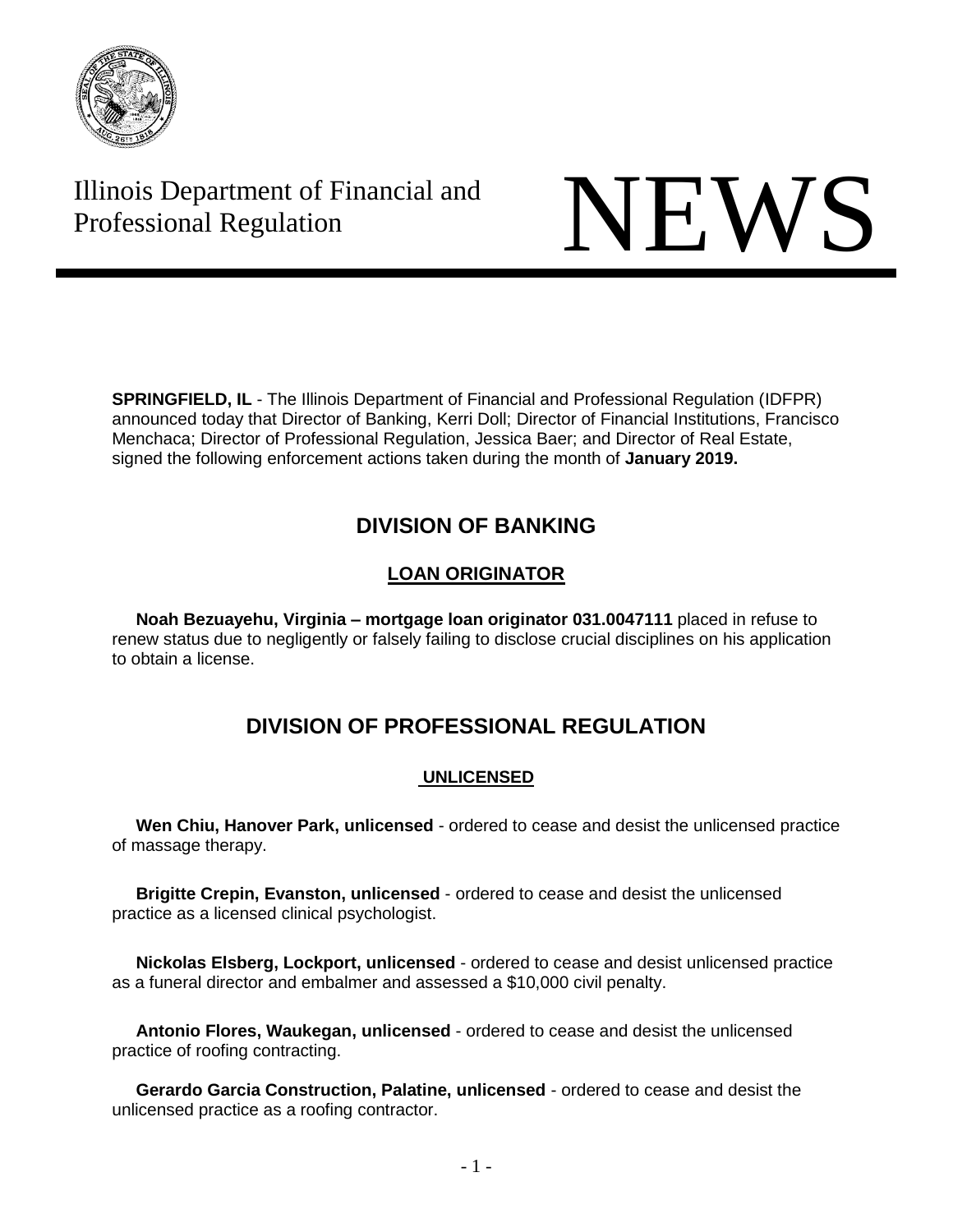

# Illinois Department of Financial and Illinois Department of Financial and<br>Professional Regulation



**SPRINGFIELD, IL** - The Illinois Department of Financial and Professional Regulation (IDFPR) announced today that Director of Banking, Kerri Doll; Director of Financial Institutions, Francisco Menchaca; Director of Professional Regulation, Jessica Baer; and Director of Real Estate, signed the following enforcement actions taken during the month of **January 2019.**

## **DIVISION OF BANKING**

## **LOAN ORIGINATOR**

 **Noah Bezuayehu, Virginia – mortgage loan originator 031.0047111** placed in refuse to renew status due to negligently or falsely failing to disclose crucial disciplines on his application to obtain a license.

## **DIVISION OF PROFESSIONAL REGULATION**

## **UNLICENSED**

 **Wen Chiu, Hanover Park, unlicensed** - ordered to cease and desist the unlicensed practice of massage therapy.

 **Brigitte Crepin, Evanston, unlicensed** - ordered to cease and desist the unlicensed practice as a licensed clinical psychologist.

 **Nickolas Elsberg, Lockport, unlicensed** - ordered to cease and desist unlicensed practice as a funeral director and embalmer and assessed a \$10,000 civil penalty.

 **Antonio Flores, Waukegan, unlicensed** - ordered to cease and desist the unlicensed practice of roofing contracting.

 **Gerardo Garcia Construction, Palatine, unlicensed** - ordered to cease and desist the unlicensed practice as a roofing contractor.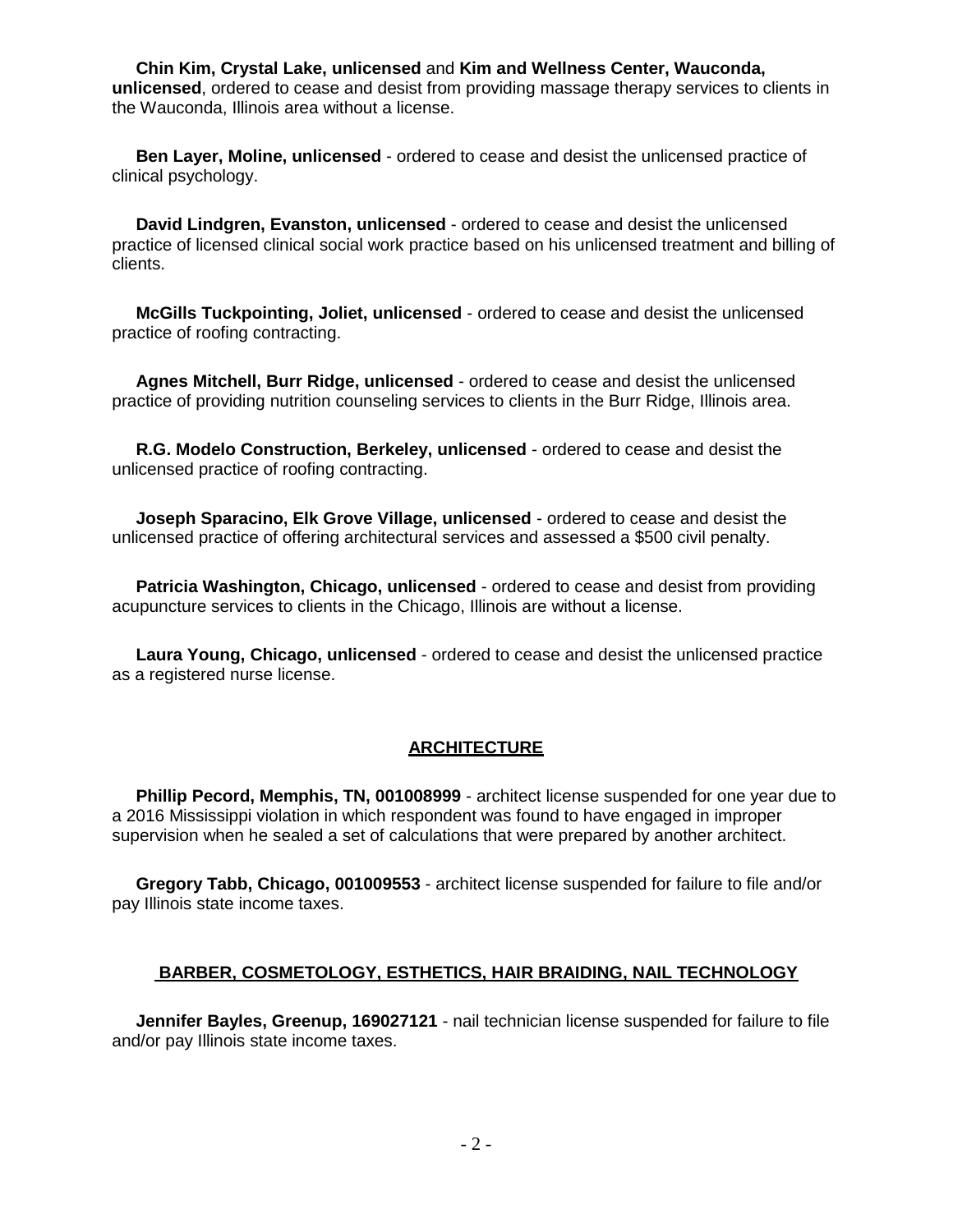**Chin Kim, Crystal Lake, unlicensed** and **Kim and Wellness Center, Wauconda, unlicensed**, ordered to cease and desist from providing massage therapy services to clients in the Wauconda, Illinois area without a license.

 **Ben Layer, Moline, unlicensed** - ordered to cease and desist the unlicensed practice of clinical psychology.

 **David Lindgren, Evanston, unlicensed** - ordered to cease and desist the unlicensed practice of licensed clinical social work practice based on his unlicensed treatment and billing of clients.

 **McGills Tuckpointing, Joliet, unlicensed** - ordered to cease and desist the unlicensed practice of roofing contracting.

 **Agnes Mitchell, Burr Ridge, unlicensed** - ordered to cease and desist the unlicensed practice of providing nutrition counseling services to clients in the Burr Ridge, Illinois area.

 **R.G. Modelo Construction, Berkeley, unlicensed** - ordered to cease and desist the unlicensed practice of roofing contracting.

 **Joseph Sparacino, Elk Grove Village, unlicensed** - ordered to cease and desist the unlicensed practice of offering architectural services and assessed a \$500 civil penalty.

 **Patricia Washington, Chicago, unlicensed** - ordered to cease and desist from providing acupuncture services to clients in the Chicago, Illinois are without a license.

 **Laura Young, Chicago, unlicensed** - ordered to cease and desist the unlicensed practice as a registered nurse license.

#### **ARCHITECTURE**

 **Phillip Pecord, Memphis, TN, 001008999** - architect license suspended for one year due to a 2016 Mississippi violation in which respondent was found to have engaged in improper supervision when he sealed a set of calculations that were prepared by another architect.

 **Gregory Tabb, Chicago, 001009553** - architect license suspended for failure to file and/or pay Illinois state income taxes.

#### **BARBER, COSMETOLOGY, ESTHETICS, HAIR BRAIDING, NAIL TECHNOLOGY**

 **Jennifer Bayles, Greenup, 169027121** - nail technician license suspended for failure to file and/or pay Illinois state income taxes.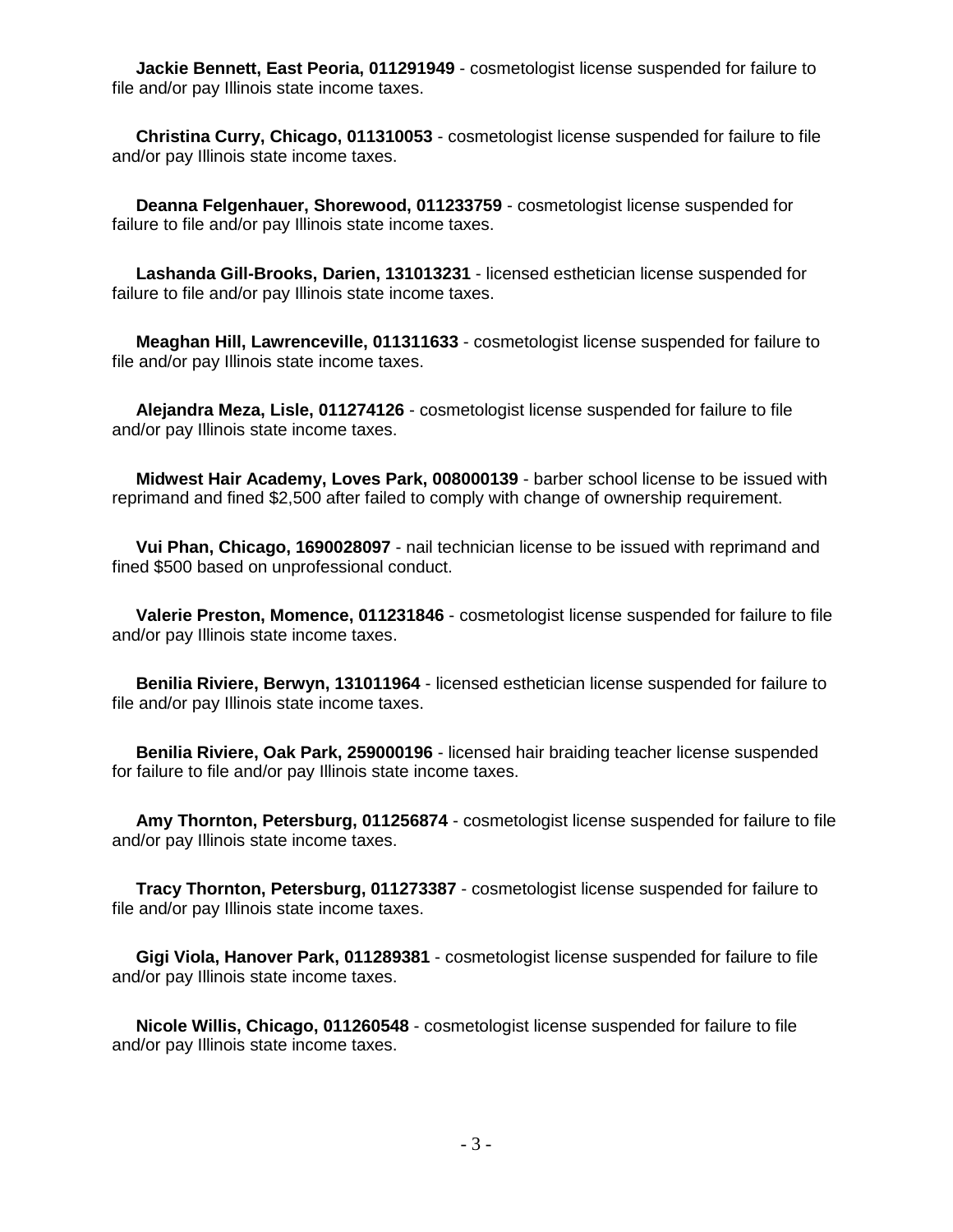**Jackie Bennett, East Peoria, 011291949** - cosmetologist license suspended for failure to file and/or pay Illinois state income taxes.

 **Christina Curry, Chicago, 011310053** - cosmetologist license suspended for failure to file and/or pay Illinois state income taxes.

 **Deanna Felgenhauer, Shorewood, 011233759** - cosmetologist license suspended for failure to file and/or pay Illinois state income taxes.

 **Lashanda Gill-Brooks, Darien, 131013231** - licensed esthetician license suspended for failure to file and/or pay Illinois state income taxes.

 **Meaghan Hill, Lawrenceville, 011311633** - cosmetologist license suspended for failure to file and/or pay Illinois state income taxes.

 **Alejandra Meza, Lisle, 011274126** - cosmetologist license suspended for failure to file and/or pay Illinois state income taxes.

 **Midwest Hair Academy, Loves Park, 008000139** - barber school license to be issued with reprimand and fined \$2,500 after failed to comply with change of ownership requirement.

 **Vui Phan, Chicago, 1690028097** - nail technician license to be issued with reprimand and fined \$500 based on unprofessional conduct.

 **Valerie Preston, Momence, 011231846** - cosmetologist license suspended for failure to file and/or pay Illinois state income taxes.

 **Benilia Riviere, Berwyn, 131011964** - licensed esthetician license suspended for failure to file and/or pay Illinois state income taxes.

 **Benilia Riviere, Oak Park, 259000196** - licensed hair braiding teacher license suspended for failure to file and/or pay Illinois state income taxes.

 **Amy Thornton, Petersburg, 011256874** - cosmetologist license suspended for failure to file and/or pay Illinois state income taxes.

 **Tracy Thornton, Petersburg, 011273387** - cosmetologist license suspended for failure to file and/or pay Illinois state income taxes.

 **Gigi Viola, Hanover Park, 011289381** - cosmetologist license suspended for failure to file and/or pay Illinois state income taxes.

 **Nicole Willis, Chicago, 011260548** - cosmetologist license suspended for failure to file and/or pay Illinois state income taxes.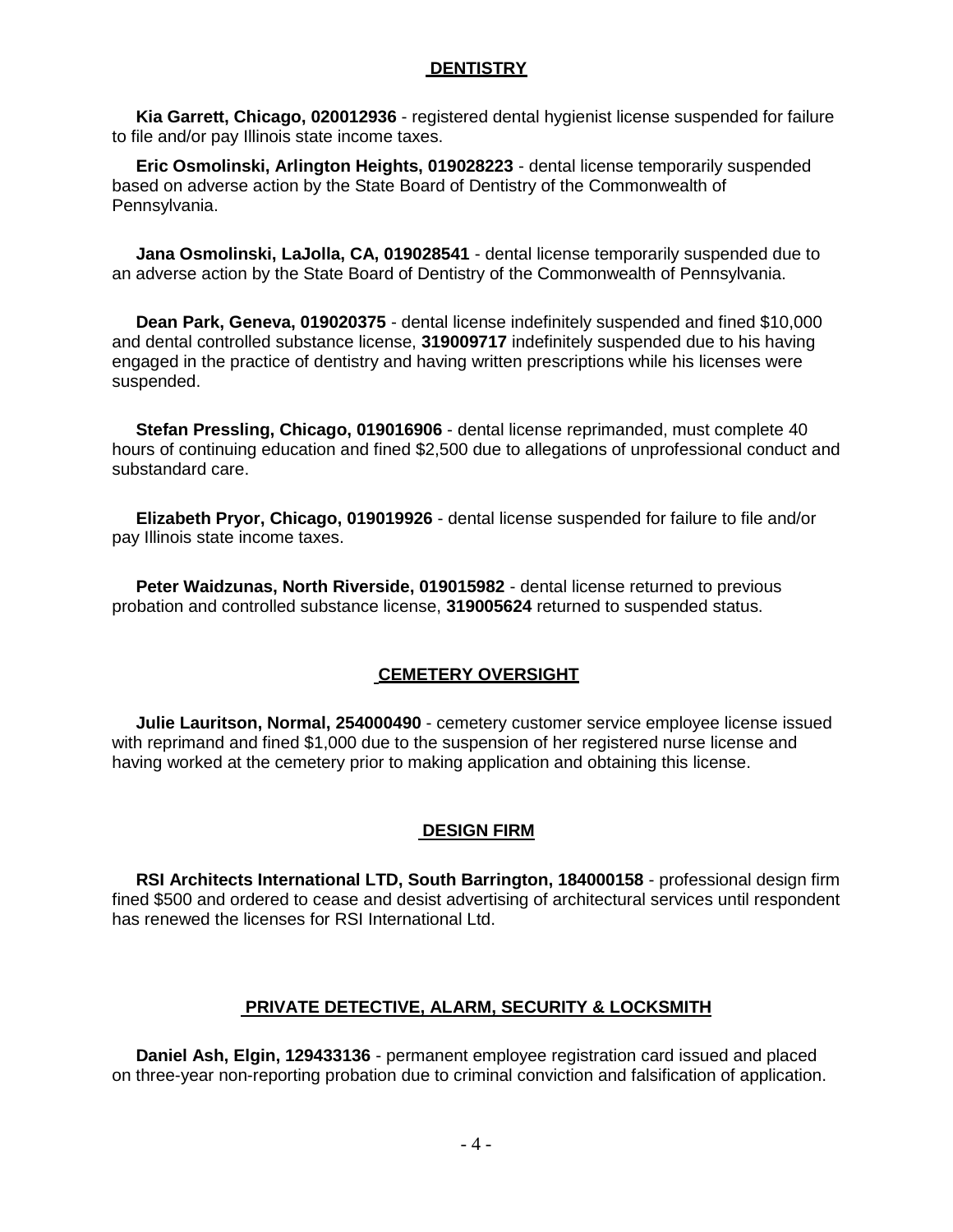## **DENTISTRY**

 **Kia Garrett, Chicago, 020012936** - registered dental hygienist license suspended for failure to file and/or pay Illinois state income taxes.

 **Eric Osmolinski, Arlington Heights, 019028223** - dental license temporarily suspended based on adverse action by the State Board of Dentistry of the Commonwealth of Pennsylvania.

 **Jana Osmolinski, LaJolla, CA, 019028541** - dental license temporarily suspended due to an adverse action by the State Board of Dentistry of the Commonwealth of Pennsylvania.

 **Dean Park, Geneva, 019020375** - dental license indefinitely suspended and fined \$10,000 and dental controlled substance license, **319009717** indefinitely suspended due to his having engaged in the practice of dentistry and having written prescriptions while his licenses were suspended.

 **Stefan Pressling, Chicago, 019016906** - dental license reprimanded, must complete 40 hours of continuing education and fined \$2,500 due to allegations of unprofessional conduct and substandard care.

 **Elizabeth Pryor, Chicago, 019019926** - dental license suspended for failure to file and/or pay Illinois state income taxes.

 **Peter Waidzunas, North Riverside, 019015982** - dental license returned to previous probation and controlled substance license, **319005624** returned to suspended status.

## **CEMETERY OVERSIGHT**

 **Julie Lauritson, Normal, 254000490** - cemetery customer service employee license issued with reprimand and fined \$1,000 due to the suspension of her registered nurse license and having worked at the cemetery prior to making application and obtaining this license.

## **DESIGN FIRM**

 **RSI Architects International LTD, South Barrington, 184000158** - professional design firm fined \$500 and ordered to cease and desist advertising of architectural services until respondent has renewed the licenses for RSI International Ltd.

## **PRIVATE DETECTIVE, ALARM, SECURITY & LOCKSMITH**

 **Daniel Ash, Elgin, 129433136** - permanent employee registration card issued and placed on three-year non-reporting probation due to criminal conviction and falsification of application.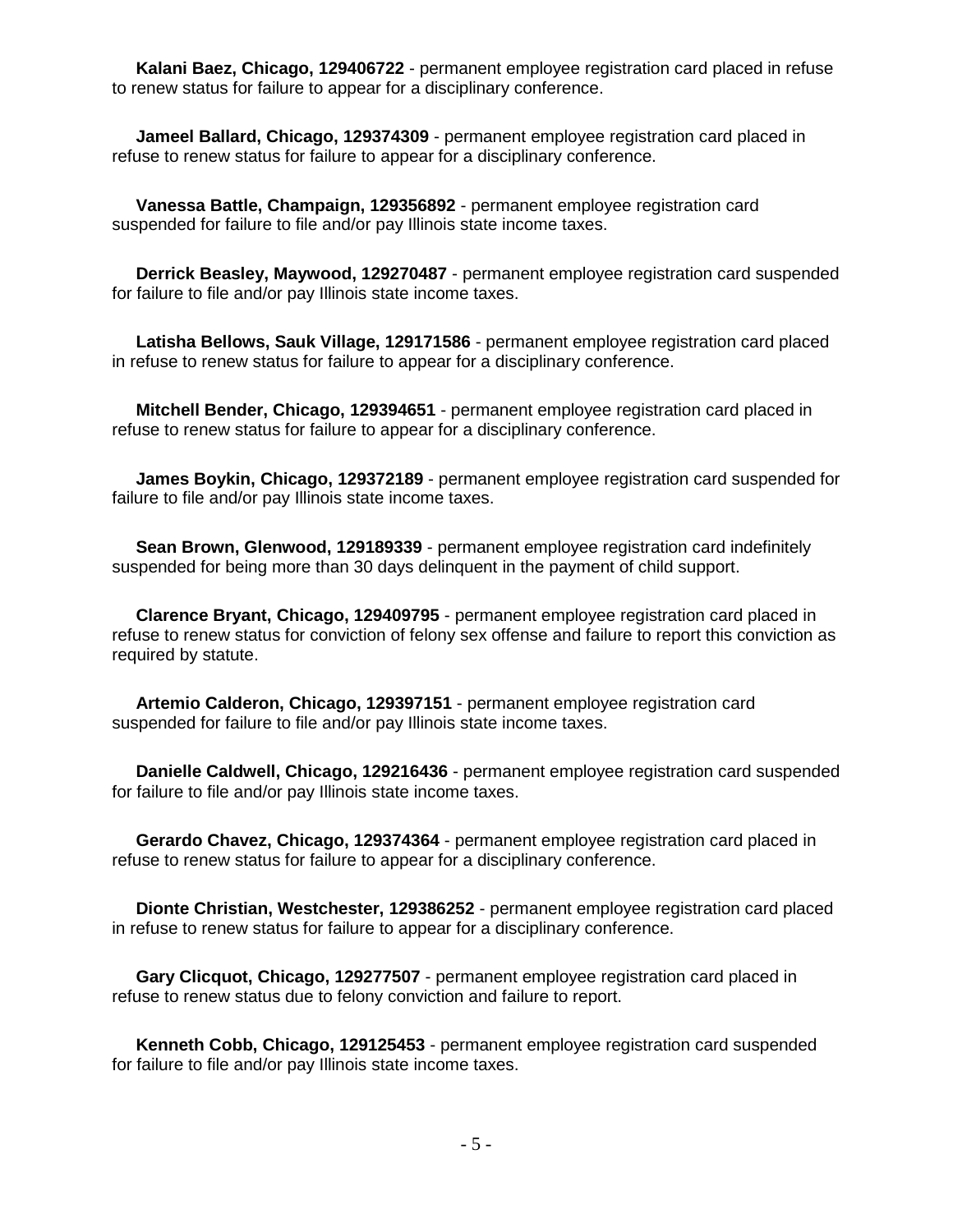**Kalani Baez, Chicago, 129406722** - permanent employee registration card placed in refuse to renew status for failure to appear for a disciplinary conference.

 **Jameel Ballard, Chicago, 129374309** - permanent employee registration card placed in refuse to renew status for failure to appear for a disciplinary conference.

 **Vanessa Battle, Champaign, 129356892** - permanent employee registration card suspended for failure to file and/or pay Illinois state income taxes.

 **Derrick Beasley, Maywood, 129270487** - permanent employee registration card suspended for failure to file and/or pay Illinois state income taxes.

 **Latisha Bellows, Sauk Village, 129171586** - permanent employee registration card placed in refuse to renew status for failure to appear for a disciplinary conference.

 **Mitchell Bender, Chicago, 129394651** - permanent employee registration card placed in refuse to renew status for failure to appear for a disciplinary conference.

 **James Boykin, Chicago, 129372189** - permanent employee registration card suspended for failure to file and/or pay Illinois state income taxes.

 **Sean Brown, Glenwood, 129189339** - permanent employee registration card indefinitely suspended for being more than 30 days delinquent in the payment of child support.

 **Clarence Bryant, Chicago, 129409795** - permanent employee registration card placed in refuse to renew status for conviction of felony sex offense and failure to report this conviction as required by statute.

 **Artemio Calderon, Chicago, 129397151** - permanent employee registration card suspended for failure to file and/or pay Illinois state income taxes.

 **Danielle Caldwell, Chicago, 129216436** - permanent employee registration card suspended for failure to file and/or pay Illinois state income taxes.

 **Gerardo Chavez, Chicago, 129374364** - permanent employee registration card placed in refuse to renew status for failure to appear for a disciplinary conference.

 **Dionte Christian, Westchester, 129386252** - permanent employee registration card placed in refuse to renew status for failure to appear for a disciplinary conference.

 **Gary Clicquot, Chicago, 129277507** - permanent employee registration card placed in refuse to renew status due to felony conviction and failure to report.

 **Kenneth Cobb, Chicago, 129125453** - permanent employee registration card suspended for failure to file and/or pay Illinois state income taxes.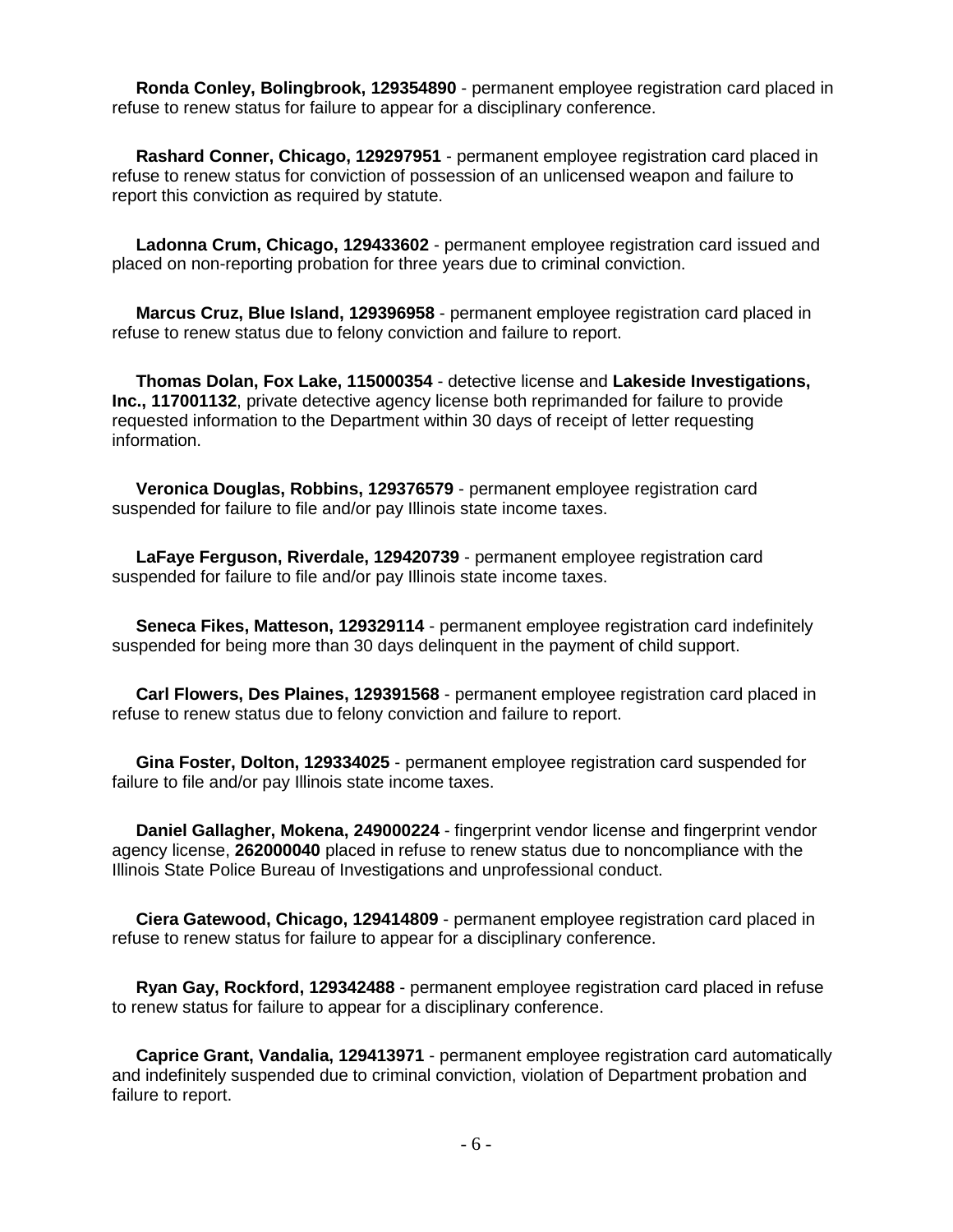**Ronda Conley, Bolingbrook, 129354890** - permanent employee registration card placed in refuse to renew status for failure to appear for a disciplinary conference.

 **Rashard Conner, Chicago, 129297951** - permanent employee registration card placed in refuse to renew status for conviction of possession of an unlicensed weapon and failure to report this conviction as required by statute.

 **Ladonna Crum, Chicago, 129433602** - permanent employee registration card issued and placed on non-reporting probation for three years due to criminal conviction.

 **Marcus Cruz, Blue Island, 129396958** - permanent employee registration card placed in refuse to renew status due to felony conviction and failure to report.

 **Thomas Dolan, Fox Lake, 115000354** - detective license and **Lakeside Investigations, Inc., 117001132**, private detective agency license both reprimanded for failure to provide requested information to the Department within 30 days of receipt of letter requesting information.

 **Veronica Douglas, Robbins, 129376579** - permanent employee registration card suspended for failure to file and/or pay Illinois state income taxes.

 **LaFaye Ferguson, Riverdale, 129420739** - permanent employee registration card suspended for failure to file and/or pay Illinois state income taxes.

 **Seneca Fikes, Matteson, 129329114** - permanent employee registration card indefinitely suspended for being more than 30 days delinquent in the payment of child support.

 **Carl Flowers, Des Plaines, 129391568** - permanent employee registration card placed in refuse to renew status due to felony conviction and failure to report.

 **Gina Foster, Dolton, 129334025** - permanent employee registration card suspended for failure to file and/or pay Illinois state income taxes.

 **Daniel Gallagher, Mokena, 249000224** - fingerprint vendor license and fingerprint vendor agency license, **262000040** placed in refuse to renew status due to noncompliance with the Illinois State Police Bureau of Investigations and unprofessional conduct.

 **Ciera Gatewood, Chicago, 129414809** - permanent employee registration card placed in refuse to renew status for failure to appear for a disciplinary conference.

 **Ryan Gay, Rockford, 129342488** - permanent employee registration card placed in refuse to renew status for failure to appear for a disciplinary conference.

 **Caprice Grant, Vandalia, 129413971** - permanent employee registration card automatically and indefinitely suspended due to criminal conviction, violation of Department probation and failure to report.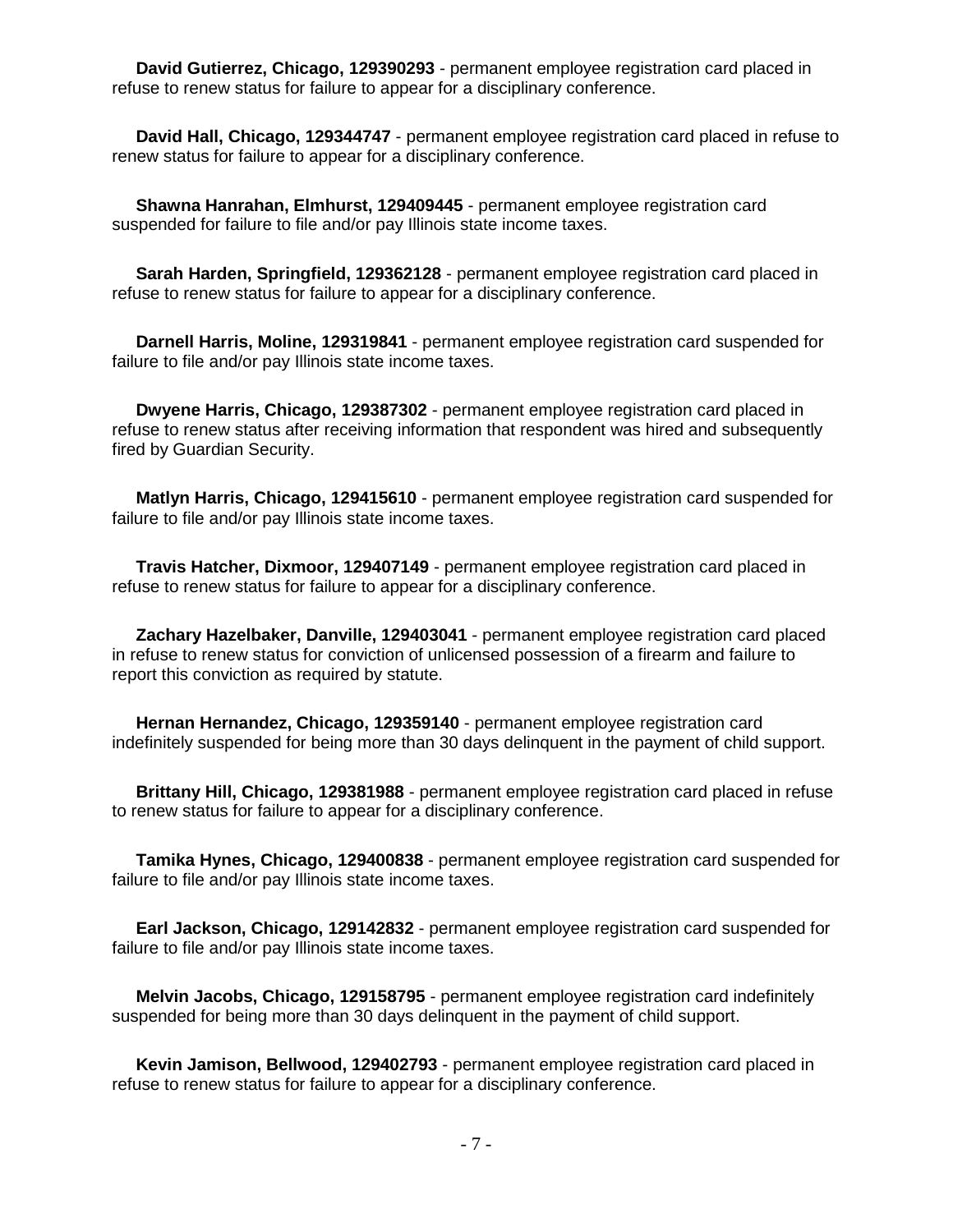**David Gutierrez, Chicago, 129390293** - permanent employee registration card placed in refuse to renew status for failure to appear for a disciplinary conference.

 **David Hall, Chicago, 129344747** - permanent employee registration card placed in refuse to renew status for failure to appear for a disciplinary conference.

 **Shawna Hanrahan, Elmhurst, 129409445** - permanent employee registration card suspended for failure to file and/or pay Illinois state income taxes.

 **Sarah Harden, Springfield, 129362128** - permanent employee registration card placed in refuse to renew status for failure to appear for a disciplinary conference.

 **Darnell Harris, Moline, 129319841** - permanent employee registration card suspended for failure to file and/or pay Illinois state income taxes.

 **Dwyene Harris, Chicago, 129387302** - permanent employee registration card placed in refuse to renew status after receiving information that respondent was hired and subsequently fired by Guardian Security.

 **Matlyn Harris, Chicago, 129415610** - permanent employee registration card suspended for failure to file and/or pay Illinois state income taxes.

 **Travis Hatcher, Dixmoor, 129407149** - permanent employee registration card placed in refuse to renew status for failure to appear for a disciplinary conference.

 **Zachary Hazelbaker, Danville, 129403041** - permanent employee registration card placed in refuse to renew status for conviction of unlicensed possession of a firearm and failure to report this conviction as required by statute.

 **Hernan Hernandez, Chicago, 129359140** - permanent employee registration card indefinitely suspended for being more than 30 days delinquent in the payment of child support.

 **Brittany Hill, Chicago, 129381988** - permanent employee registration card placed in refuse to renew status for failure to appear for a disciplinary conference.

 **Tamika Hynes, Chicago, 129400838** - permanent employee registration card suspended for failure to file and/or pay Illinois state income taxes.

 **Earl Jackson, Chicago, 129142832** - permanent employee registration card suspended for failure to file and/or pay Illinois state income taxes.

 **Melvin Jacobs, Chicago, 129158795** - permanent employee registration card indefinitely suspended for being more than 30 days delinquent in the payment of child support.

 **Kevin Jamison, Bellwood, 129402793** - permanent employee registration card placed in refuse to renew status for failure to appear for a disciplinary conference.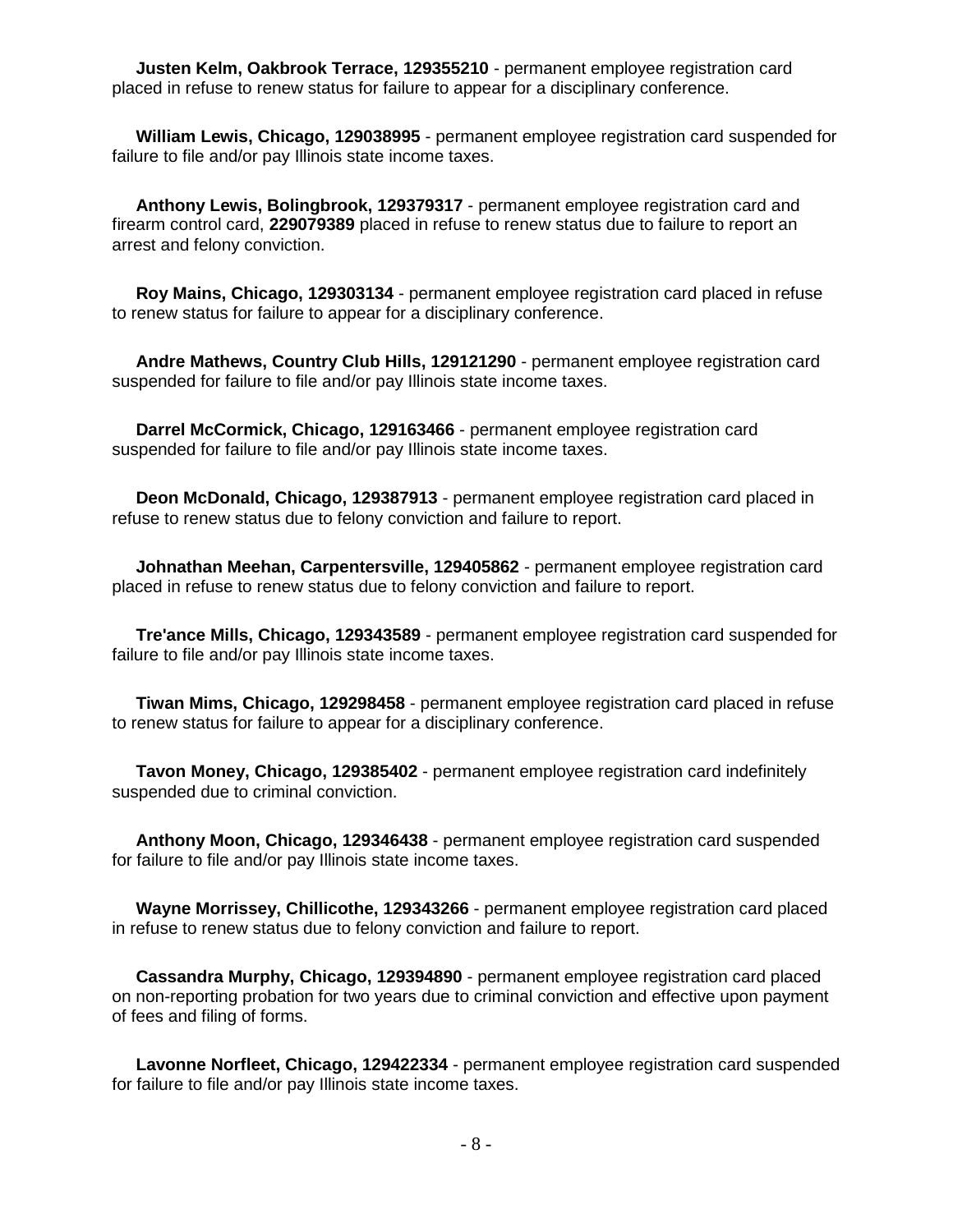**Justen Kelm, Oakbrook Terrace, 129355210** - permanent employee registration card placed in refuse to renew status for failure to appear for a disciplinary conference.

 **William Lewis, Chicago, 129038995** - permanent employee registration card suspended for failure to file and/or pay Illinois state income taxes.

 **Anthony Lewis, Bolingbrook, 129379317** - permanent employee registration card and firearm control card, **229079389** placed in refuse to renew status due to failure to report an arrest and felony conviction.

 **Roy Mains, Chicago, 129303134** - permanent employee registration card placed in refuse to renew status for failure to appear for a disciplinary conference.

 **Andre Mathews, Country Club Hills, 129121290** - permanent employee registration card suspended for failure to file and/or pay Illinois state income taxes.

 **Darrel McCormick, Chicago, 129163466** - permanent employee registration card suspended for failure to file and/or pay Illinois state income taxes.

 **Deon McDonald, Chicago, 129387913** - permanent employee registration card placed in refuse to renew status due to felony conviction and failure to report.

 **Johnathan Meehan, Carpentersville, 129405862** - permanent employee registration card placed in refuse to renew status due to felony conviction and failure to report.

 **Tre'ance Mills, Chicago, 129343589** - permanent employee registration card suspended for failure to file and/or pay Illinois state income taxes.

 **Tiwan Mims, Chicago, 129298458** - permanent employee registration card placed in refuse to renew status for failure to appear for a disciplinary conference.

 **Tavon Money, Chicago, 129385402** - permanent employee registration card indefinitely suspended due to criminal conviction.

 **Anthony Moon, Chicago, 129346438** - permanent employee registration card suspended for failure to file and/or pay Illinois state income taxes.

 **Wayne Morrissey, Chillicothe, 129343266** - permanent employee registration card placed in refuse to renew status due to felony conviction and failure to report.

 **Cassandra Murphy, Chicago, 129394890** - permanent employee registration card placed on non-reporting probation for two years due to criminal conviction and effective upon payment of fees and filing of forms.

 **Lavonne Norfleet, Chicago, 129422334** - permanent employee registration card suspended for failure to file and/or pay Illinois state income taxes.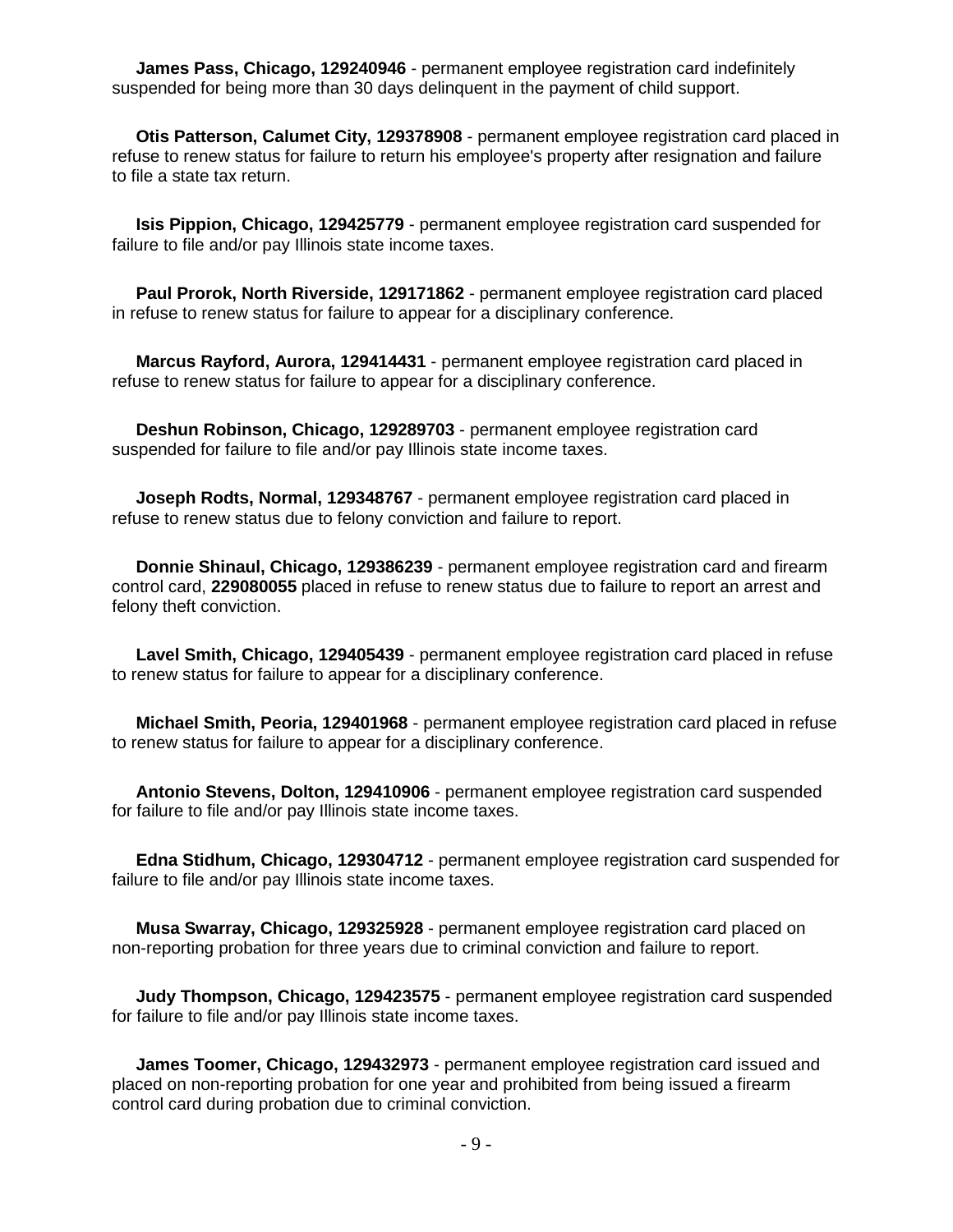**James Pass, Chicago, 129240946** - permanent employee registration card indefinitely suspended for being more than 30 days delinquent in the payment of child support.

 **Otis Patterson, Calumet City, 129378908** - permanent employee registration card placed in refuse to renew status for failure to return his employee's property after resignation and failure to file a state tax return.

 **Isis Pippion, Chicago, 129425779** - permanent employee registration card suspended for failure to file and/or pay Illinois state income taxes.

 **Paul Prorok, North Riverside, 129171862** - permanent employee registration card placed in refuse to renew status for failure to appear for a disciplinary conference.

 **Marcus Rayford, Aurora, 129414431** - permanent employee registration card placed in refuse to renew status for failure to appear for a disciplinary conference.

 **Deshun Robinson, Chicago, 129289703** - permanent employee registration card suspended for failure to file and/or pay Illinois state income taxes.

 **Joseph Rodts, Normal, 129348767** - permanent employee registration card placed in refuse to renew status due to felony conviction and failure to report.

 **Donnie Shinaul, Chicago, 129386239** - permanent employee registration card and firearm control card, **229080055** placed in refuse to renew status due to failure to report an arrest and felony theft conviction.

 **Lavel Smith, Chicago, 129405439** - permanent employee registration card placed in refuse to renew status for failure to appear for a disciplinary conference.

 **Michael Smith, Peoria, 129401968** - permanent employee registration card placed in refuse to renew status for failure to appear for a disciplinary conference.

 **Antonio Stevens, Dolton, 129410906** - permanent employee registration card suspended for failure to file and/or pay Illinois state income taxes.

 **Edna Stidhum, Chicago, 129304712** - permanent employee registration card suspended for failure to file and/or pay Illinois state income taxes.

 **Musa Swarray, Chicago, 129325928** - permanent employee registration card placed on non-reporting probation for three years due to criminal conviction and failure to report.

 **Judy Thompson, Chicago, 129423575** - permanent employee registration card suspended for failure to file and/or pay Illinois state income taxes.

 **James Toomer, Chicago, 129432973** - permanent employee registration card issued and placed on non-reporting probation for one year and prohibited from being issued a firearm control card during probation due to criminal conviction.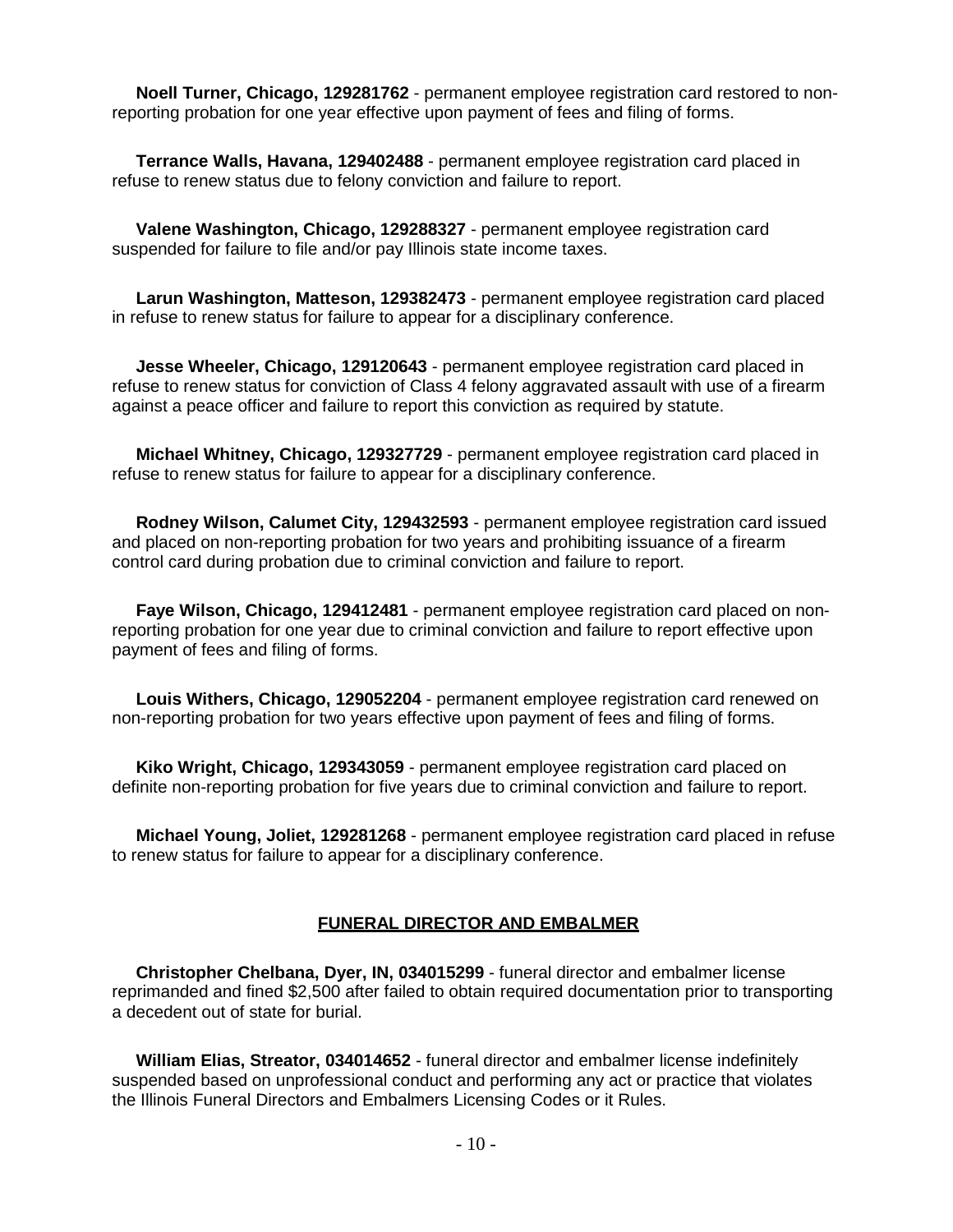**Noell Turner, Chicago, 129281762** - permanent employee registration card restored to nonreporting probation for one year effective upon payment of fees and filing of forms.

 **Terrance Walls, Havana, 129402488** - permanent employee registration card placed in refuse to renew status due to felony conviction and failure to report.

 **Valene Washington, Chicago, 129288327** - permanent employee registration card suspended for failure to file and/or pay Illinois state income taxes.

 **Larun Washington, Matteson, 129382473** - permanent employee registration card placed in refuse to renew status for failure to appear for a disciplinary conference.

 **Jesse Wheeler, Chicago, 129120643** - permanent employee registration card placed in refuse to renew status for conviction of Class 4 felony aggravated assault with use of a firearm against a peace officer and failure to report this conviction as required by statute.

 **Michael Whitney, Chicago, 129327729** - permanent employee registration card placed in refuse to renew status for failure to appear for a disciplinary conference.

 **Rodney Wilson, Calumet City, 129432593** - permanent employee registration card issued and placed on non-reporting probation for two years and prohibiting issuance of a firearm control card during probation due to criminal conviction and failure to report.

 **Faye Wilson, Chicago, 129412481** - permanent employee registration card placed on nonreporting probation for one year due to criminal conviction and failure to report effective upon payment of fees and filing of forms.

 **Louis Withers, Chicago, 129052204** - permanent employee registration card renewed on non-reporting probation for two years effective upon payment of fees and filing of forms.

 **Kiko Wright, Chicago, 129343059** - permanent employee registration card placed on definite non-reporting probation for five years due to criminal conviction and failure to report.

 **Michael Young, Joliet, 129281268** - permanent employee registration card placed in refuse to renew status for failure to appear for a disciplinary conference.

## **FUNERAL DIRECTOR AND EMBALMER**

 **Christopher Chelbana, Dyer, IN, 034015299** - funeral director and embalmer license reprimanded and fined \$2,500 after failed to obtain required documentation prior to transporting a decedent out of state for burial.

 **William Elias, Streator, 034014652** - funeral director and embalmer license indefinitely suspended based on unprofessional conduct and performing any act or practice that violates the Illinois Funeral Directors and Embalmers Licensing Codes or it Rules.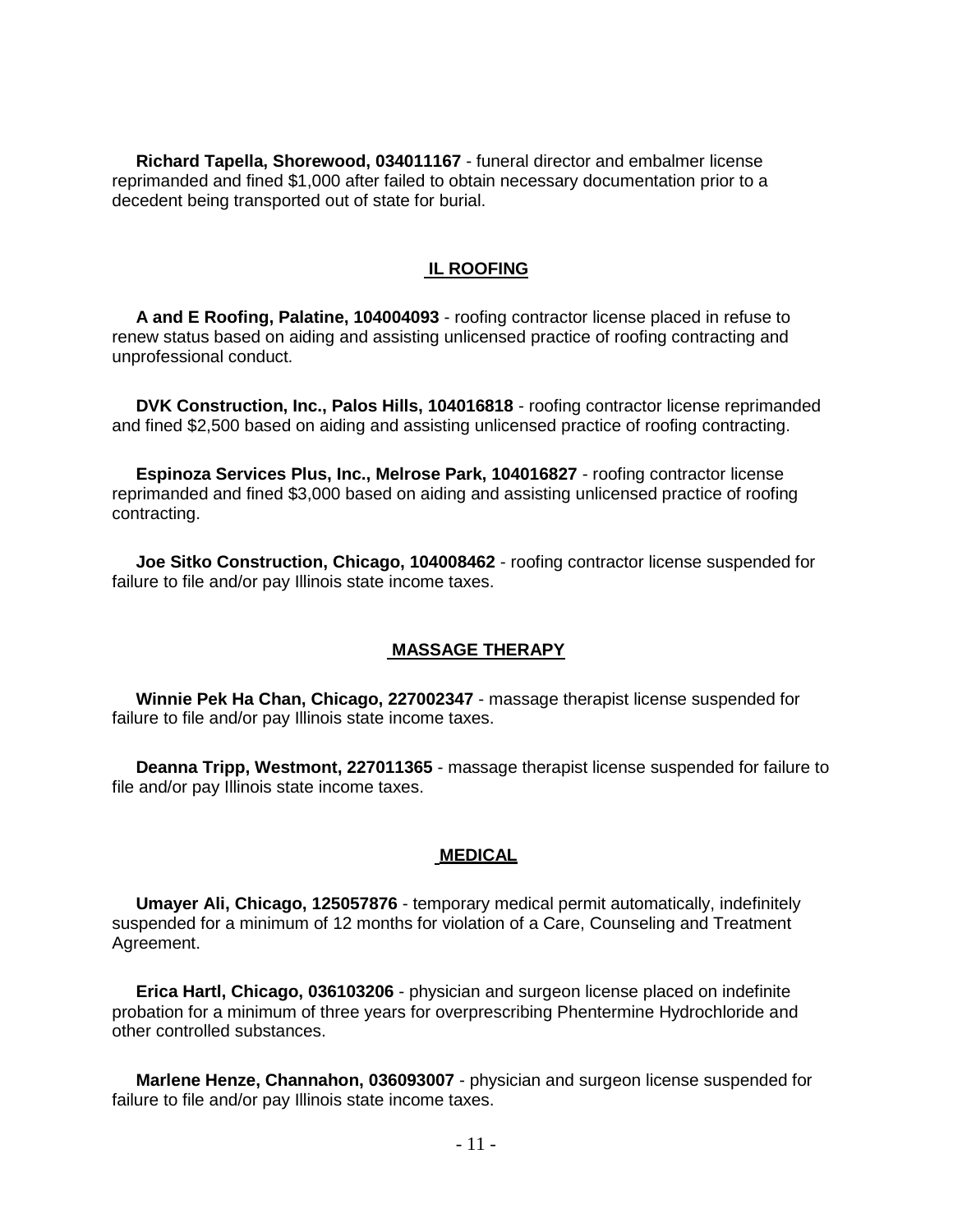**Richard Tapella, Shorewood, 034011167** - funeral director and embalmer license reprimanded and fined \$1,000 after failed to obtain necessary documentation prior to a decedent being transported out of state for burial.

#### **IL ROOFING**

 **A and E Roofing, Palatine, 104004093** - roofing contractor license placed in refuse to renew status based on aiding and assisting unlicensed practice of roofing contracting and unprofessional conduct.

 **DVK Construction, Inc., Palos Hills, 104016818** - roofing contractor license reprimanded and fined \$2,500 based on aiding and assisting unlicensed practice of roofing contracting.

 **Espinoza Services Plus, Inc., Melrose Park, 104016827** - roofing contractor license reprimanded and fined \$3,000 based on aiding and assisting unlicensed practice of roofing contracting.

 **Joe Sitko Construction, Chicago, 104008462** - roofing contractor license suspended for failure to file and/or pay Illinois state income taxes.

#### **MASSAGE THERAPY**

 **Winnie Pek Ha Chan, Chicago, 227002347** - massage therapist license suspended for failure to file and/or pay Illinois state income taxes.

 **Deanna Tripp, Westmont, 227011365** - massage therapist license suspended for failure to file and/or pay Illinois state income taxes.

#### **MEDICAL**

 **Umayer Ali, Chicago, 125057876** - temporary medical permit automatically, indefinitely suspended for a minimum of 12 months for violation of a Care, Counseling and Treatment Agreement.

 **Erica Hartl, Chicago, 036103206** - physician and surgeon license placed on indefinite probation for a minimum of three years for overprescribing Phentermine Hydrochloride and other controlled substances.

 **Marlene Henze, Channahon, 036093007** - physician and surgeon license suspended for failure to file and/or pay Illinois state income taxes.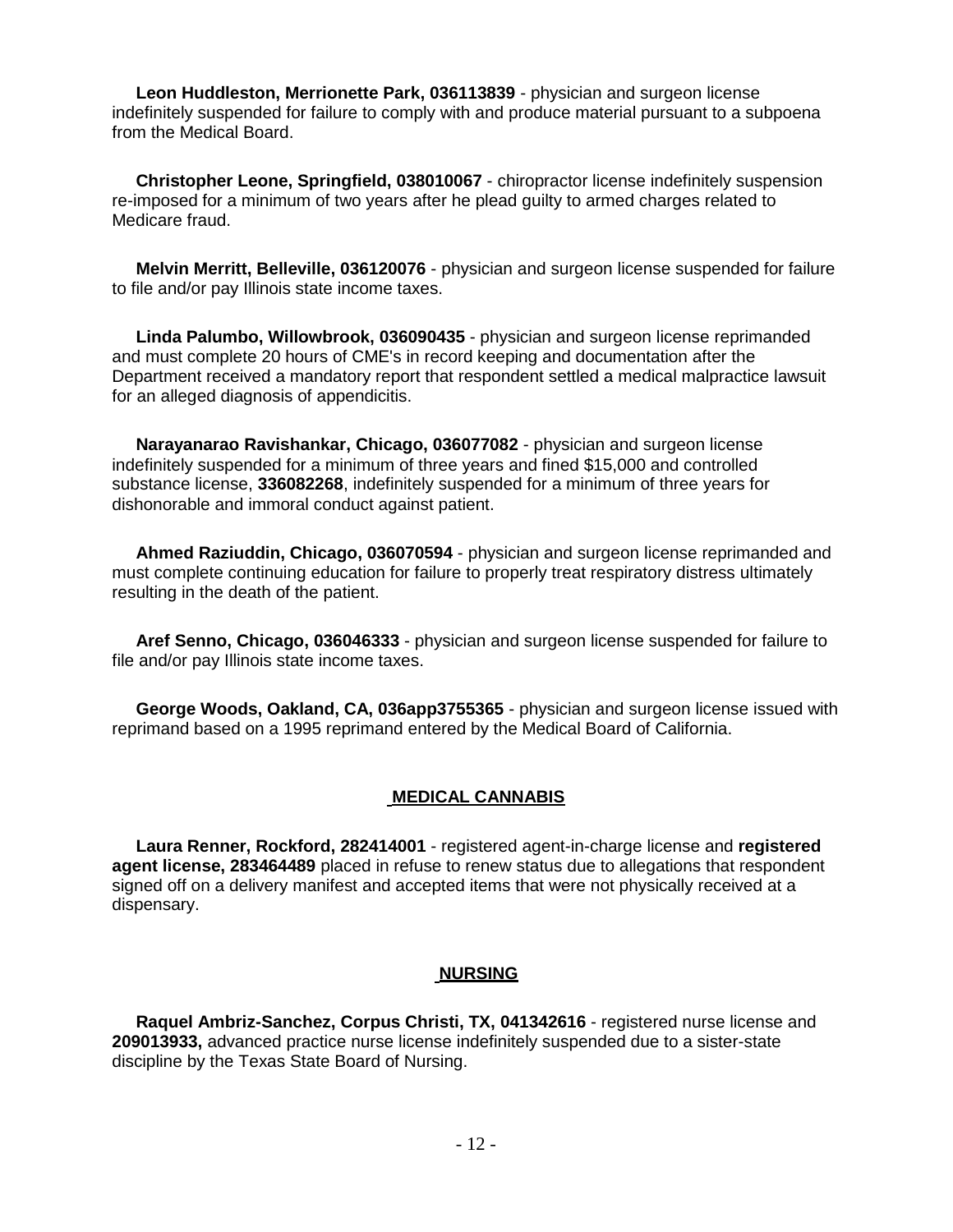**Leon Huddleston, Merrionette Park, 036113839** - physician and surgeon license indefinitely suspended for failure to comply with and produce material pursuant to a subpoena from the Medical Board.

 **Christopher Leone, Springfield, 038010067** - chiropractor license indefinitely suspension re-imposed for a minimum of two years after he plead guilty to armed charges related to Medicare fraud.

 **Melvin Merritt, Belleville, 036120076** - physician and surgeon license suspended for failure to file and/or pay Illinois state income taxes.

 **Linda Palumbo, Willowbrook, 036090435** - physician and surgeon license reprimanded and must complete 20 hours of CME's in record keeping and documentation after the Department received a mandatory report that respondent settled a medical malpractice lawsuit for an alleged diagnosis of appendicitis.

 **Narayanarao Ravishankar, Chicago, 036077082** - physician and surgeon license indefinitely suspended for a minimum of three years and fined \$15,000 and controlled substance license, **336082268**, indefinitely suspended for a minimum of three years for dishonorable and immoral conduct against patient.

 **Ahmed Raziuddin, Chicago, 036070594** - physician and surgeon license reprimanded and must complete continuing education for failure to properly treat respiratory distress ultimately resulting in the death of the patient.

 **Aref Senno, Chicago, 036046333** - physician and surgeon license suspended for failure to file and/or pay Illinois state income taxes.

 **George Woods, Oakland, CA, 036app3755365** - physician and surgeon license issued with reprimand based on a 1995 reprimand entered by the Medical Board of California.

## **MEDICAL CANNABIS**

 **Laura Renner, Rockford, 282414001** - registered agent-in-charge license and **registered agent license, 283464489** placed in refuse to renew status due to allegations that respondent signed off on a delivery manifest and accepted items that were not physically received at a dispensary.

#### **NURSING**

 **Raquel Ambriz-Sanchez, Corpus Christi, TX, 041342616** - registered nurse license and **209013933,** advanced practice nurse license indefinitely suspended due to a sister-state discipline by the Texas State Board of Nursing.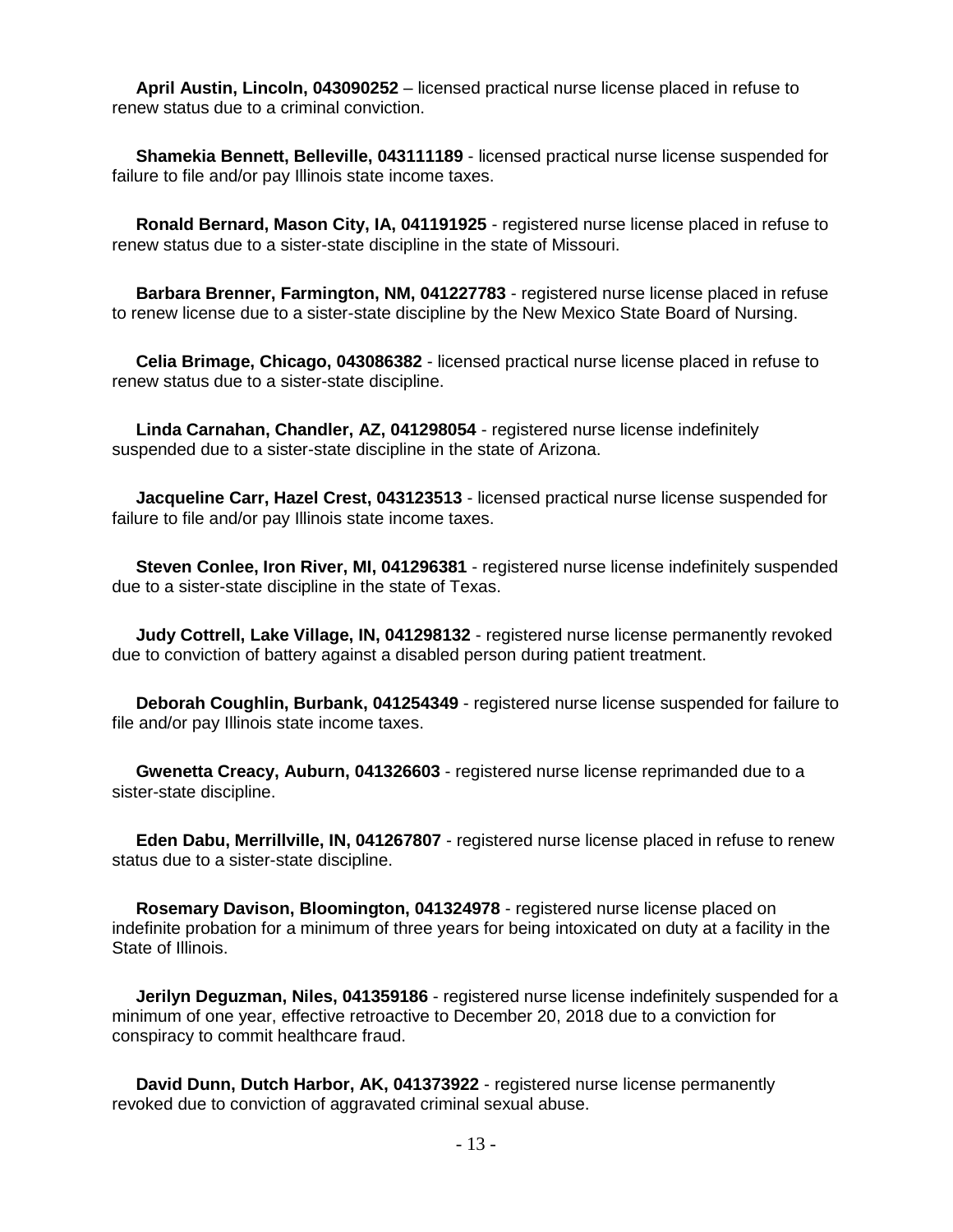**April Austin, Lincoln, 043090252** – licensed practical nurse license placed in refuse to renew status due to a criminal conviction.

 **Shamekia Bennett, Belleville, 043111189** - licensed practical nurse license suspended for failure to file and/or pay Illinois state income taxes.

 **Ronald Bernard, Mason City, IA, 041191925** - registered nurse license placed in refuse to renew status due to a sister-state discipline in the state of Missouri.

 **Barbara Brenner, Farmington, NM, 041227783** - registered nurse license placed in refuse to renew license due to a sister-state discipline by the New Mexico State Board of Nursing.

 **Celia Brimage, Chicago, 043086382** - licensed practical nurse license placed in refuse to renew status due to a sister-state discipline.

 **Linda Carnahan, Chandler, AZ, 041298054** - registered nurse license indefinitely suspended due to a sister-state discipline in the state of Arizona.

 **Jacqueline Carr, Hazel Crest, 043123513** - licensed practical nurse license suspended for failure to file and/or pay Illinois state income taxes.

 **Steven Conlee, Iron River, MI, 041296381** - registered nurse license indefinitely suspended due to a sister-state discipline in the state of Texas.

 **Judy Cottrell, Lake Village, IN, 041298132** - registered nurse license permanently revoked due to conviction of battery against a disabled person during patient treatment.

 **Deborah Coughlin, Burbank, 041254349** - registered nurse license suspended for failure to file and/or pay Illinois state income taxes.

 **Gwenetta Creacy, Auburn, 041326603** - registered nurse license reprimanded due to a sister-state discipline.

 **Eden Dabu, Merrillville, IN, 041267807** - registered nurse license placed in refuse to renew status due to a sister-state discipline.

 **Rosemary Davison, Bloomington, 041324978** - registered nurse license placed on indefinite probation for a minimum of three years for being intoxicated on duty at a facility in the State of Illinois.

 **Jerilyn Deguzman, Niles, 041359186** - registered nurse license indefinitely suspended for a minimum of one year, effective retroactive to December 20, 2018 due to a conviction for conspiracy to commit healthcare fraud.

 **David Dunn, Dutch Harbor, AK, 041373922** - registered nurse license permanently revoked due to conviction of aggravated criminal sexual abuse.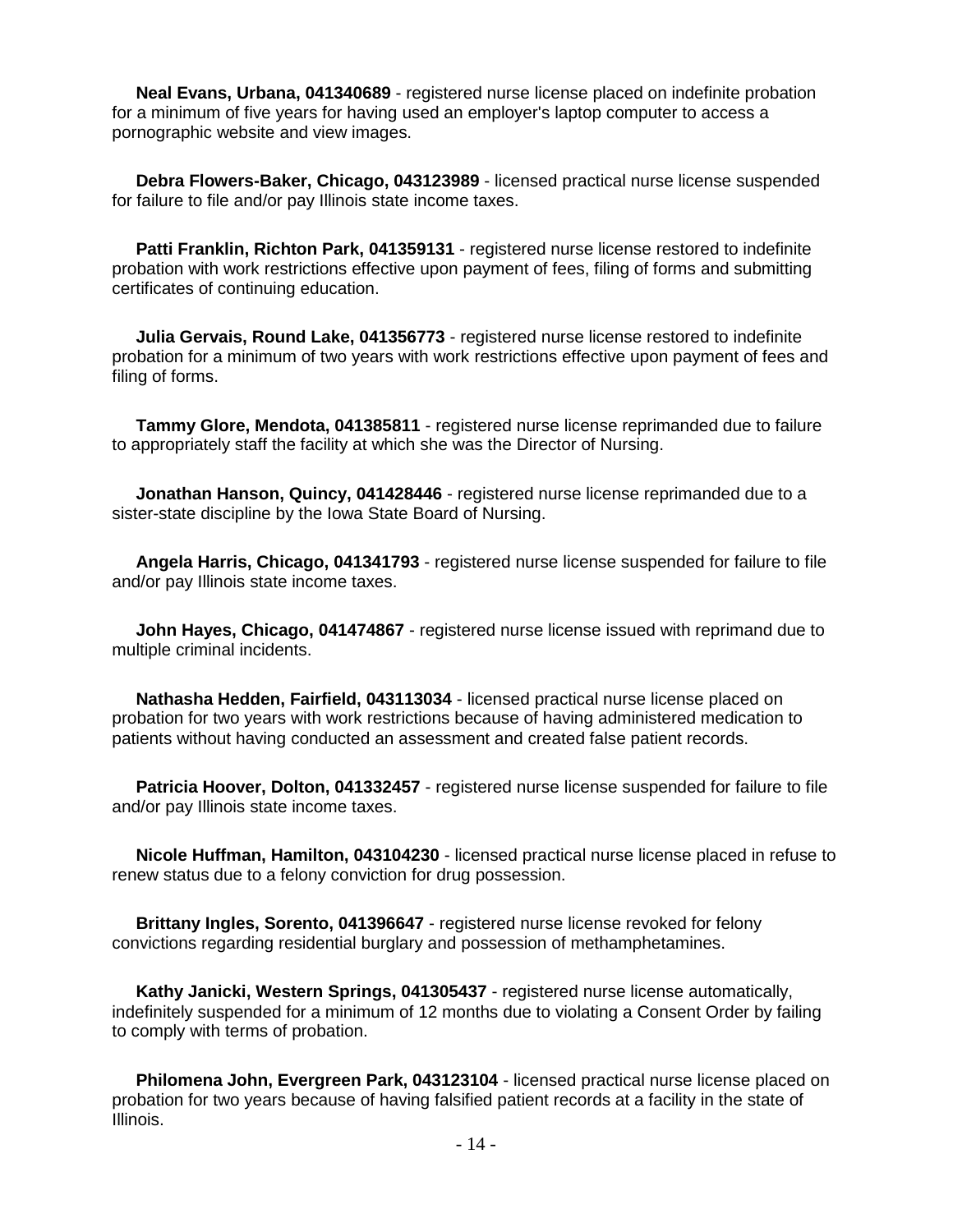**Neal Evans, Urbana, 041340689** - registered nurse license placed on indefinite probation for a minimum of five years for having used an employer's laptop computer to access a pornographic website and view images.

 **Debra Flowers-Baker, Chicago, 043123989** - licensed practical nurse license suspended for failure to file and/or pay Illinois state income taxes.

 **Patti Franklin, Richton Park, 041359131** - registered nurse license restored to indefinite probation with work restrictions effective upon payment of fees, filing of forms and submitting certificates of continuing education.

 **Julia Gervais, Round Lake, 041356773** - registered nurse license restored to indefinite probation for a minimum of two years with work restrictions effective upon payment of fees and filing of forms.

 **Tammy Glore, Mendota, 041385811** - registered nurse license reprimanded due to failure to appropriately staff the facility at which she was the Director of Nursing.

 **Jonathan Hanson, Quincy, 041428446** - registered nurse license reprimanded due to a sister-state discipline by the Iowa State Board of Nursing.

 **Angela Harris, Chicago, 041341793** - registered nurse license suspended for failure to file and/or pay Illinois state income taxes.

 **John Hayes, Chicago, 041474867** - registered nurse license issued with reprimand due to multiple criminal incidents.

 **Nathasha Hedden, Fairfield, 043113034** - licensed practical nurse license placed on probation for two years with work restrictions because of having administered medication to patients without having conducted an assessment and created false patient records.

 **Patricia Hoover, Dolton, 041332457** - registered nurse license suspended for failure to file and/or pay Illinois state income taxes.

 **Nicole Huffman, Hamilton, 043104230** - licensed practical nurse license placed in refuse to renew status due to a felony conviction for drug possession.

 **Brittany Ingles, Sorento, 041396647** - registered nurse license revoked for felony convictions regarding residential burglary and possession of methamphetamines.

 **Kathy Janicki, Western Springs, 041305437** - registered nurse license automatically, indefinitely suspended for a minimum of 12 months due to violating a Consent Order by failing to comply with terms of probation.

 **Philomena John, Evergreen Park, 043123104** - licensed practical nurse license placed on probation for two years because of having falsified patient records at a facility in the state of Illinois.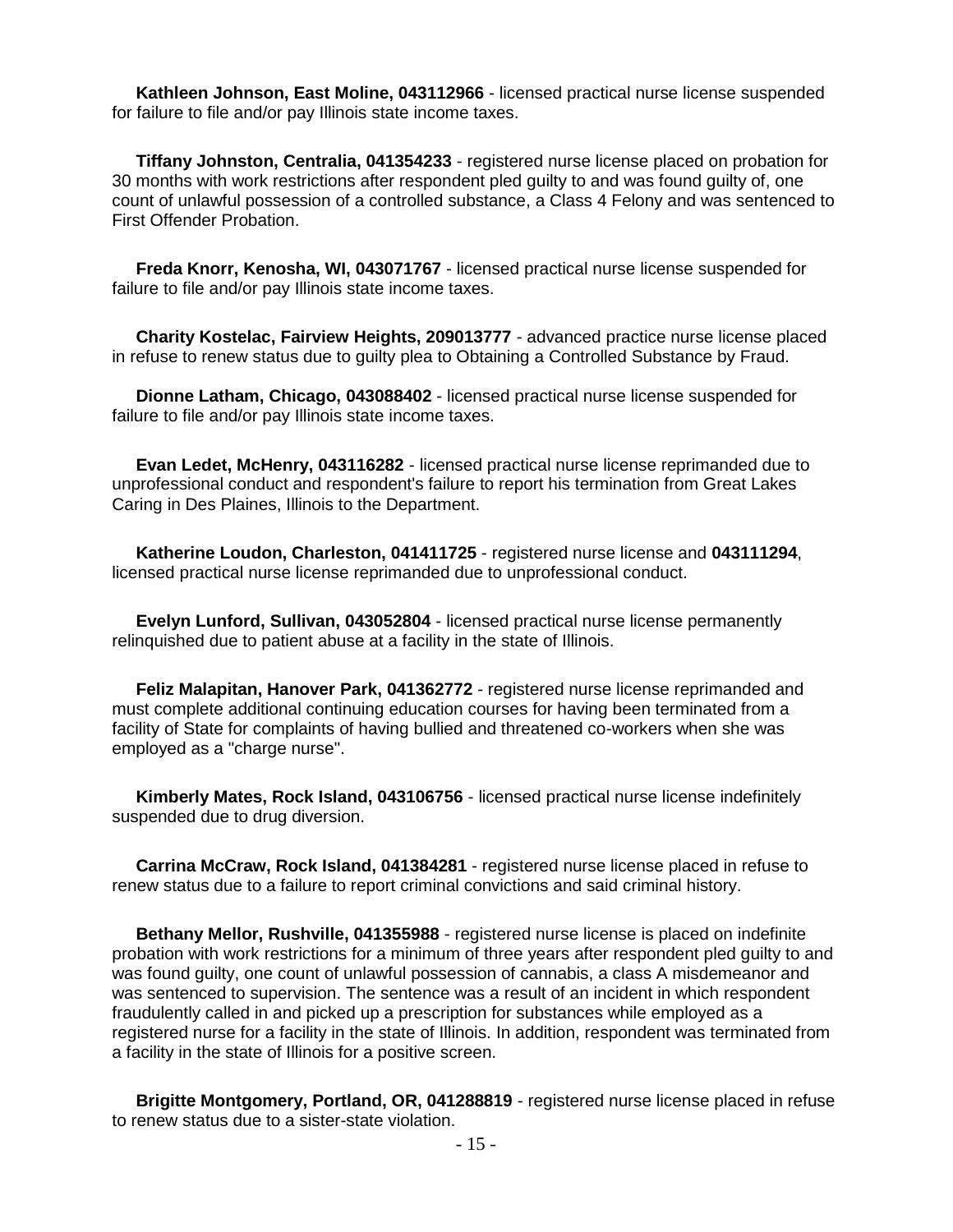**Kathleen Johnson, East Moline, 043112966** - licensed practical nurse license suspended for failure to file and/or pay Illinois state income taxes.

 **Tiffany Johnston, Centralia, 041354233** - registered nurse license placed on probation for 30 months with work restrictions after respondent pled guilty to and was found guilty of, one count of unlawful possession of a controlled substance, a Class 4 Felony and was sentenced to First Offender Probation.

 **Freda Knorr, Kenosha, WI, 043071767** - licensed practical nurse license suspended for failure to file and/or pay Illinois state income taxes.

 **Charity Kostelac, Fairview Heights, 209013777** - advanced practice nurse license placed in refuse to renew status due to guilty plea to Obtaining a Controlled Substance by Fraud.

 **Dionne Latham, Chicago, 043088402** - licensed practical nurse license suspended for failure to file and/or pay Illinois state income taxes.

 **Evan Ledet, McHenry, 043116282** - licensed practical nurse license reprimanded due to unprofessional conduct and respondent's failure to report his termination from Great Lakes Caring in Des Plaines, Illinois to the Department.

 **Katherine Loudon, Charleston, 041411725** - registered nurse license and **043111294**, licensed practical nurse license reprimanded due to unprofessional conduct.

 **Evelyn Lunford, Sullivan, 043052804** - licensed practical nurse license permanently relinquished due to patient abuse at a facility in the state of Illinois.

 **Feliz Malapitan, Hanover Park, 041362772** - registered nurse license reprimanded and must complete additional continuing education courses for having been terminated from a facility of State for complaints of having bullied and threatened co-workers when she was employed as a "charge nurse".

 **Kimberly Mates, Rock Island, 043106756** - licensed practical nurse license indefinitely suspended due to drug diversion.

 **Carrina McCraw, Rock Island, 041384281** - registered nurse license placed in refuse to renew status due to a failure to report criminal convictions and said criminal history.

 **Bethany Mellor, Rushville, 041355988** - registered nurse license is placed on indefinite probation with work restrictions for a minimum of three years after respondent pled guilty to and was found guilty, one count of unlawful possession of cannabis, a class A misdemeanor and was sentenced to supervision. The sentence was a result of an incident in which respondent fraudulently called in and picked up a prescription for substances while employed as a registered nurse for a facility in the state of Illinois. In addition, respondent was terminated from a facility in the state of Illinois for a positive screen.

 **Brigitte Montgomery, Portland, OR, 041288819** - registered nurse license placed in refuse to renew status due to a sister-state violation.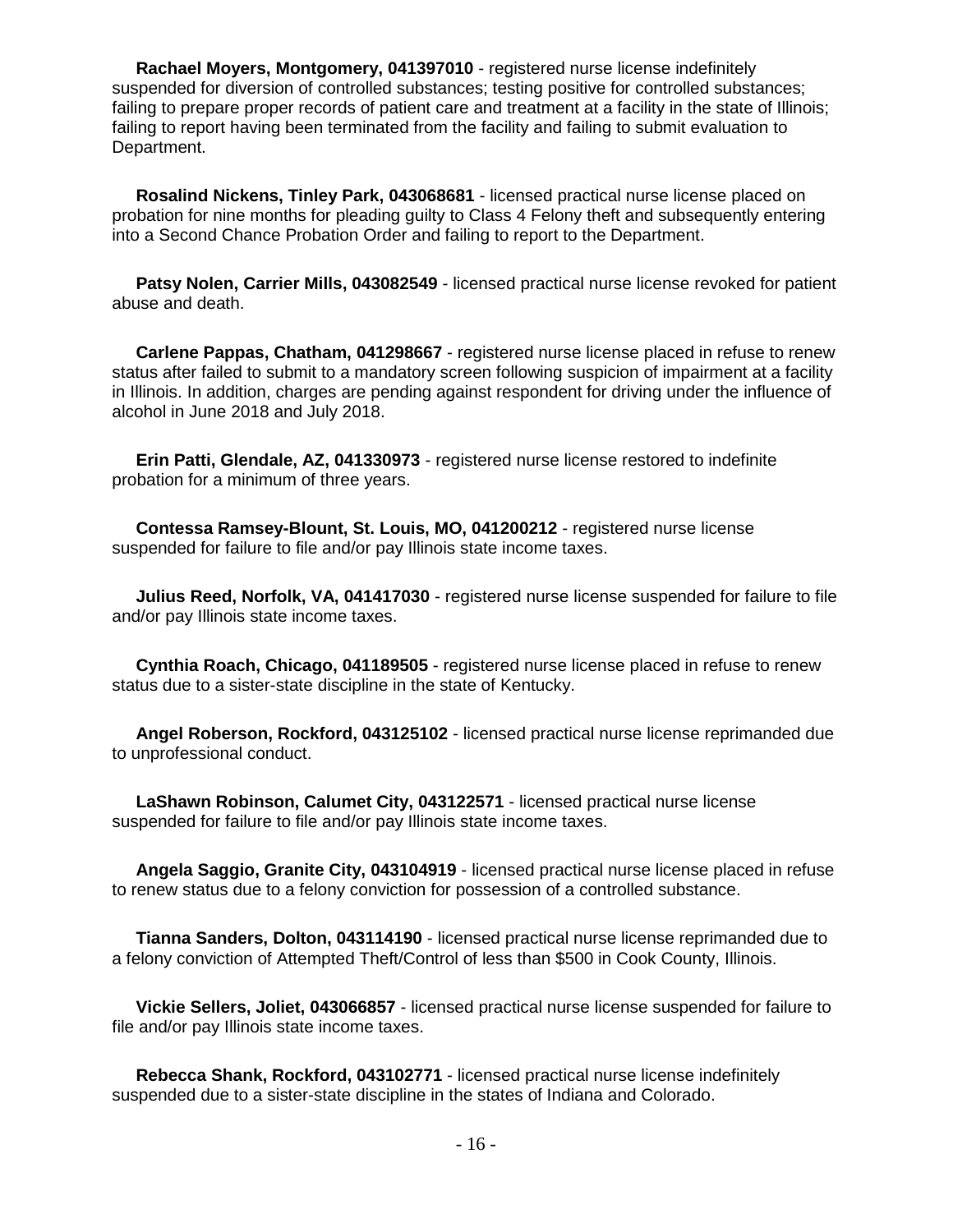**Rachael Moyers, Montgomery, 041397010** - registered nurse license indefinitely suspended for diversion of controlled substances; testing positive for controlled substances; failing to prepare proper records of patient care and treatment at a facility in the state of Illinois; failing to report having been terminated from the facility and failing to submit evaluation to Department.

 **Rosalind Nickens, Tinley Park, 043068681** - licensed practical nurse license placed on probation for nine months for pleading guilty to Class 4 Felony theft and subsequently entering into a Second Chance Probation Order and failing to report to the Department.

 **Patsy Nolen, Carrier Mills, 043082549** - licensed practical nurse license revoked for patient abuse and death.

 **Carlene Pappas, Chatham, 041298667** - registered nurse license placed in refuse to renew status after failed to submit to a mandatory screen following suspicion of impairment at a facility in Illinois. In addition, charges are pending against respondent for driving under the influence of alcohol in June 2018 and July 2018.

 **Erin Patti, Glendale, AZ, 041330973** - registered nurse license restored to indefinite probation for a minimum of three years.

 **Contessa Ramsey-Blount, St. Louis, MO, 041200212** - registered nurse license suspended for failure to file and/or pay Illinois state income taxes.

 **Julius Reed, Norfolk, VA, 041417030** - registered nurse license suspended for failure to file and/or pay Illinois state income taxes.

 **Cynthia Roach, Chicago, 041189505** - registered nurse license placed in refuse to renew status due to a sister-state discipline in the state of Kentucky.

 **Angel Roberson, Rockford, 043125102** - licensed practical nurse license reprimanded due to unprofessional conduct.

 **LaShawn Robinson, Calumet City, 043122571** - licensed practical nurse license suspended for failure to file and/or pay Illinois state income taxes.

 **Angela Saggio, Granite City, 043104919** - licensed practical nurse license placed in refuse to renew status due to a felony conviction for possession of a controlled substance.

 **Tianna Sanders, Dolton, 043114190** - licensed practical nurse license reprimanded due to a felony conviction of Attempted Theft/Control of less than \$500 in Cook County, Illinois.

 **Vickie Sellers, Joliet, 043066857** - licensed practical nurse license suspended for failure to file and/or pay Illinois state income taxes.

 **Rebecca Shank, Rockford, 043102771** - licensed practical nurse license indefinitely suspended due to a sister-state discipline in the states of Indiana and Colorado.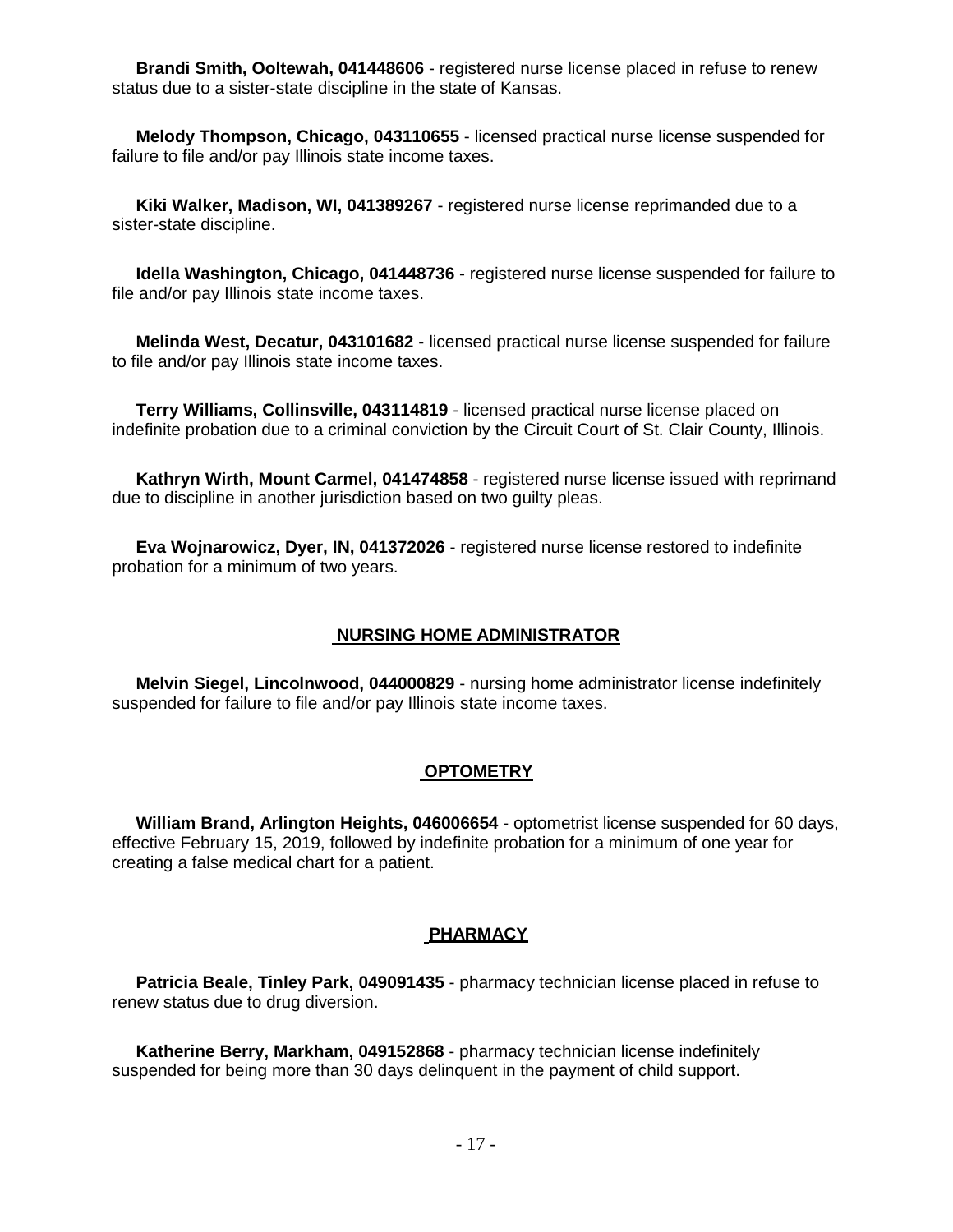**Brandi Smith, Ooltewah, 041448606** - registered nurse license placed in refuse to renew status due to a sister-state discipline in the state of Kansas.

 **Melody Thompson, Chicago, 043110655** - licensed practical nurse license suspended for failure to file and/or pay Illinois state income taxes.

 **Kiki Walker, Madison, WI, 041389267** - registered nurse license reprimanded due to a sister-state discipline.

 **Idella Washington, Chicago, 041448736** - registered nurse license suspended for failure to file and/or pay Illinois state income taxes.

 **Melinda West, Decatur, 043101682** - licensed practical nurse license suspended for failure to file and/or pay Illinois state income taxes.

 **Terry Williams, Collinsville, 043114819** - licensed practical nurse license placed on indefinite probation due to a criminal conviction by the Circuit Court of St. Clair County, Illinois.

 **Kathryn Wirth, Mount Carmel, 041474858** - registered nurse license issued with reprimand due to discipline in another jurisdiction based on two guilty pleas.

 **Eva Wojnarowicz, Dyer, IN, 041372026** - registered nurse license restored to indefinite probation for a minimum of two years.

#### **NURSING HOME ADMINISTRATOR**

 **Melvin Siegel, Lincolnwood, 044000829** - nursing home administrator license indefinitely suspended for failure to file and/or pay Illinois state income taxes.

#### **OPTOMETRY**

 **William Brand, Arlington Heights, 046006654** - optometrist license suspended for 60 days, effective February 15, 2019, followed by indefinite probation for a minimum of one year for creating a false medical chart for a patient.

#### **PHARMACY**

 **Patricia Beale, Tinley Park, 049091435** - pharmacy technician license placed in refuse to renew status due to drug diversion.

 **Katherine Berry, Markham, 049152868** - pharmacy technician license indefinitely suspended for being more than 30 days delinquent in the payment of child support.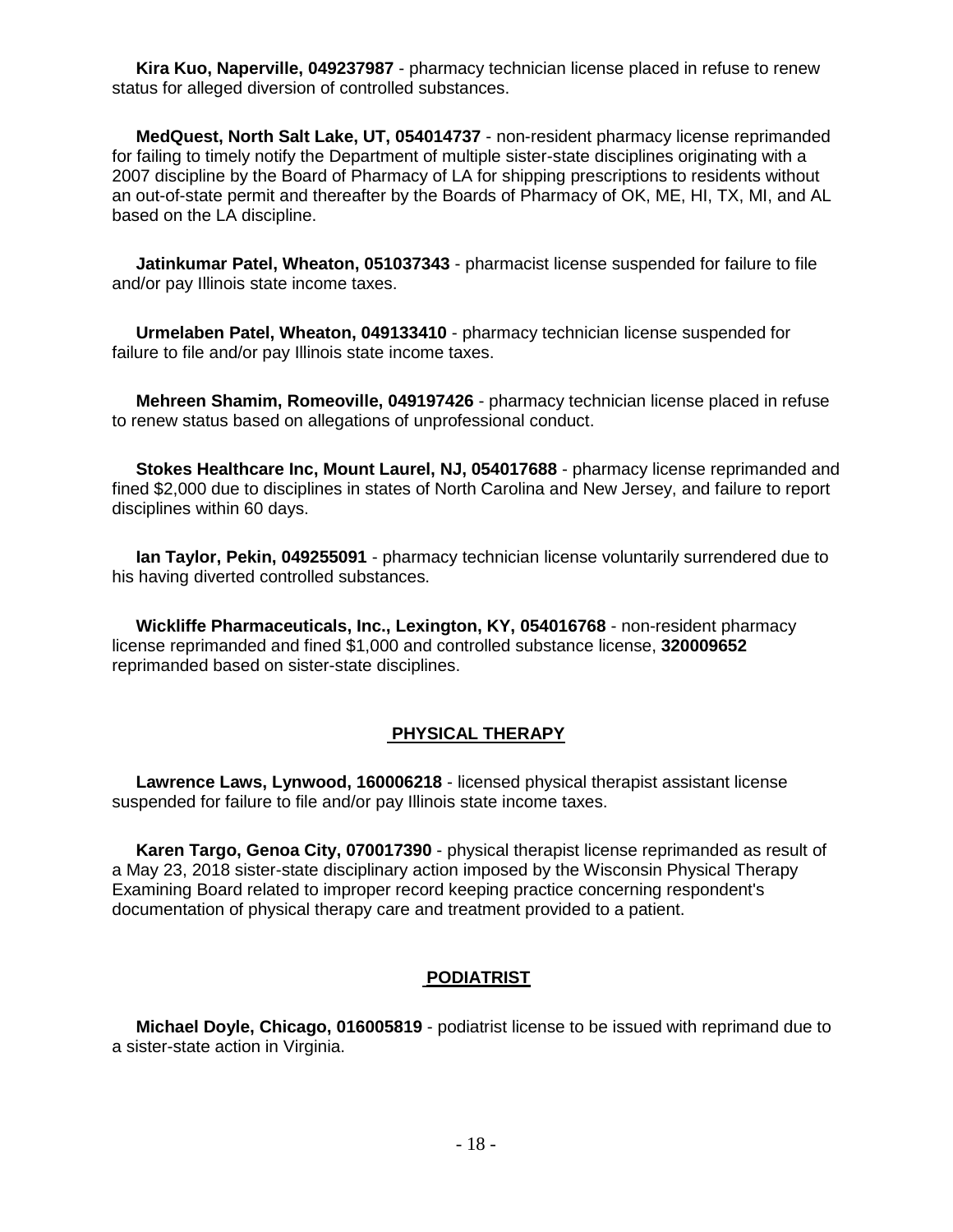**Kira Kuo, Naperville, 049237987** - pharmacy technician license placed in refuse to renew status for alleged diversion of controlled substances.

 **MedQuest, North Salt Lake, UT, 054014737** - non-resident pharmacy license reprimanded for failing to timely notify the Department of multiple sister-state disciplines originating with a 2007 discipline by the Board of Pharmacy of LA for shipping prescriptions to residents without an out-of-state permit and thereafter by the Boards of Pharmacy of OK, ME, HI, TX, MI, and AL based on the LA discipline.

 **Jatinkumar Patel, Wheaton, 051037343** - pharmacist license suspended for failure to file and/or pay Illinois state income taxes.

 **Urmelaben Patel, Wheaton, 049133410** - pharmacy technician license suspended for failure to file and/or pay Illinois state income taxes.

 **Mehreen Shamim, Romeoville, 049197426** - pharmacy technician license placed in refuse to renew status based on allegations of unprofessional conduct.

 **Stokes Healthcare Inc, Mount Laurel, NJ, 054017688** - pharmacy license reprimanded and fined \$2,000 due to disciplines in states of North Carolina and New Jersey, and failure to report disciplines within 60 days.

 **Ian Taylor, Pekin, 049255091** - pharmacy technician license voluntarily surrendered due to his having diverted controlled substances.

 **Wickliffe Pharmaceuticals, Inc., Lexington, KY, 054016768** - non-resident pharmacy license reprimanded and fined \$1,000 and controlled substance license, **320009652**  reprimanded based on sister-state disciplines.

#### **PHYSICAL THERAPY**

 **Lawrence Laws, Lynwood, 160006218** - licensed physical therapist assistant license suspended for failure to file and/or pay Illinois state income taxes.

 **Karen Targo, Genoa City, 070017390** - physical therapist license reprimanded as result of a May 23, 2018 sister-state disciplinary action imposed by the Wisconsin Physical Therapy Examining Board related to improper record keeping practice concerning respondent's documentation of physical therapy care and treatment provided to a patient.

#### **PODIATRIST**

 **Michael Doyle, Chicago, 016005819** - podiatrist license to be issued with reprimand due to a sister-state action in Virginia.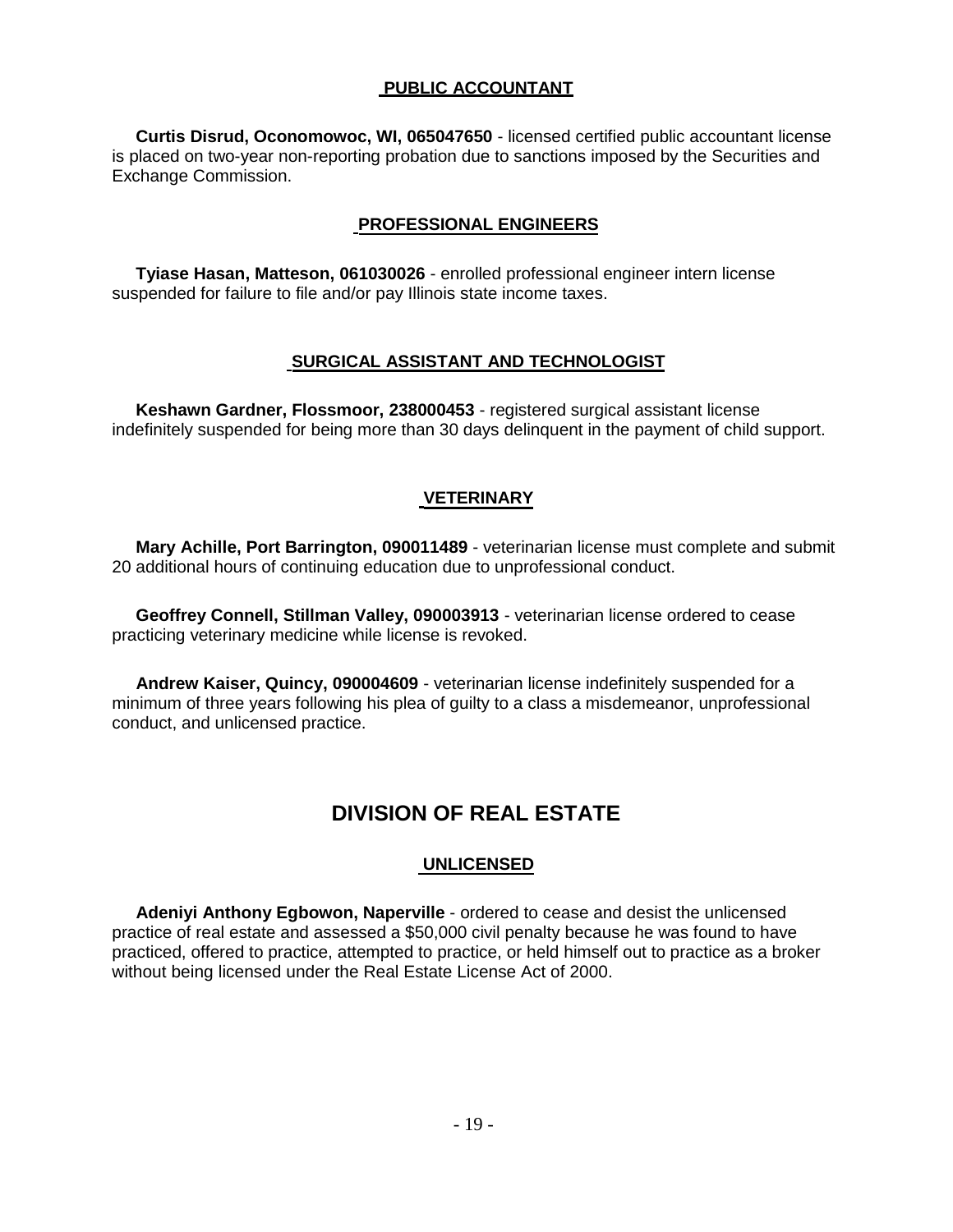## **PUBLIC ACCOUNTANT**

**Curtis Disrud, Oconomowoc, WI, 065047650** - licensed certified public accountant license is placed on two-year non-reporting probation due to sanctions imposed by the Securities and Exchange Commission.

## **PROFESSIONAL ENGINEERS**

**Tyiase Hasan, Matteson, 061030026** - enrolled professional engineer intern license suspended for failure to file and/or pay Illinois state income taxes.

## **SURGICAL ASSISTANT AND TECHNOLOGIST**

**Keshawn Gardner, Flossmoor, 238000453** - registered surgical assistant license indefinitely suspended for being more than 30 days delinquent in the payment of child support.

## **VETERINARY**

**Mary Achille, Port Barrington, 090011489** - veterinarian license must complete and submit 20 additional hours of continuing education due to unprofessional conduct.

**Geoffrey Connell, Stillman Valley, 090003913** - veterinarian license ordered to cease practicing veterinary medicine while license is revoked.

**Andrew Kaiser, Quincy, 090004609** - veterinarian license indefinitely suspended for a minimum of three years following his plea of guilty to a class a misdemeanor, unprofessional conduct, and unlicensed practice.

## **DIVISION OF REAL ESTATE**

## **UNLICENSED**

**Adeniyi Anthony Egbowon, Naperville** - ordered to cease and desist the unlicensed practice of real estate and assessed a \$50,000 civil penalty because he was found to have practiced, offered to practice, attempted to practice, or held himself out to practice as a broker without being licensed under the Real Estate License Act of 2000.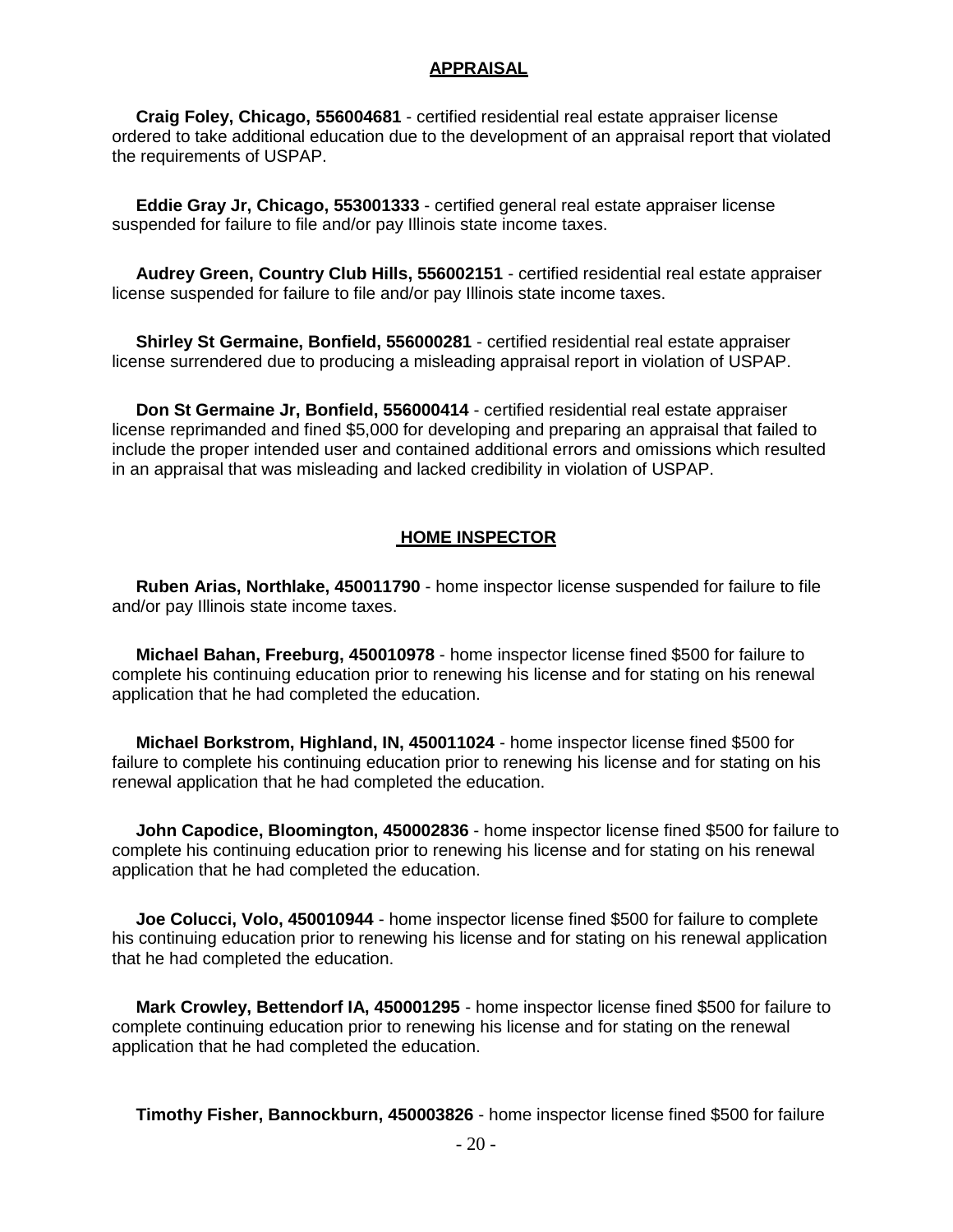#### **APPRAISAL**

 **Craig Foley, Chicago, 556004681** - certified residential real estate appraiser license ordered to take additional education due to the development of an appraisal report that violated the requirements of USPAP.

 **Eddie Gray Jr, Chicago, 553001333** - certified general real estate appraiser license suspended for failure to file and/or pay Illinois state income taxes.

 **Audrey Green, Country Club Hills, 556002151** - certified residential real estate appraiser license suspended for failure to file and/or pay Illinois state income taxes.

 **Shirley St Germaine, Bonfield, 556000281** - certified residential real estate appraiser license surrendered due to producing a misleading appraisal report in violation of USPAP.

 **Don St Germaine Jr, Bonfield, 556000414** - certified residential real estate appraiser license reprimanded and fined \$5,000 for developing and preparing an appraisal that failed to include the proper intended user and contained additional errors and omissions which resulted in an appraisal that was misleading and lacked credibility in violation of USPAP.

#### **HOME INSPECTOR**

 **Ruben Arias, Northlake, 450011790** - home inspector license suspended for failure to file and/or pay Illinois state income taxes.

 **Michael Bahan, Freeburg, 450010978** - home inspector license fined \$500 for failure to complete his continuing education prior to renewing his license and for stating on his renewal application that he had completed the education.

 **Michael Borkstrom, Highland, IN, 450011024** - home inspector license fined \$500 for failure to complete his continuing education prior to renewing his license and for stating on his renewal application that he had completed the education.

 **John Capodice, Bloomington, 450002836** - home inspector license fined \$500 for failure to complete his continuing education prior to renewing his license and for stating on his renewal application that he had completed the education.

 **Joe Colucci, Volo, 450010944** - home inspector license fined \$500 for failure to complete his continuing education prior to renewing his license and for stating on his renewal application that he had completed the education.

 **Mark Crowley, Bettendorf IA, 450001295** - home inspector license fined \$500 for failure to complete continuing education prior to renewing his license and for stating on the renewal application that he had completed the education.

**Timothy Fisher, Bannockburn, 450003826** - home inspector license fined \$500 for failure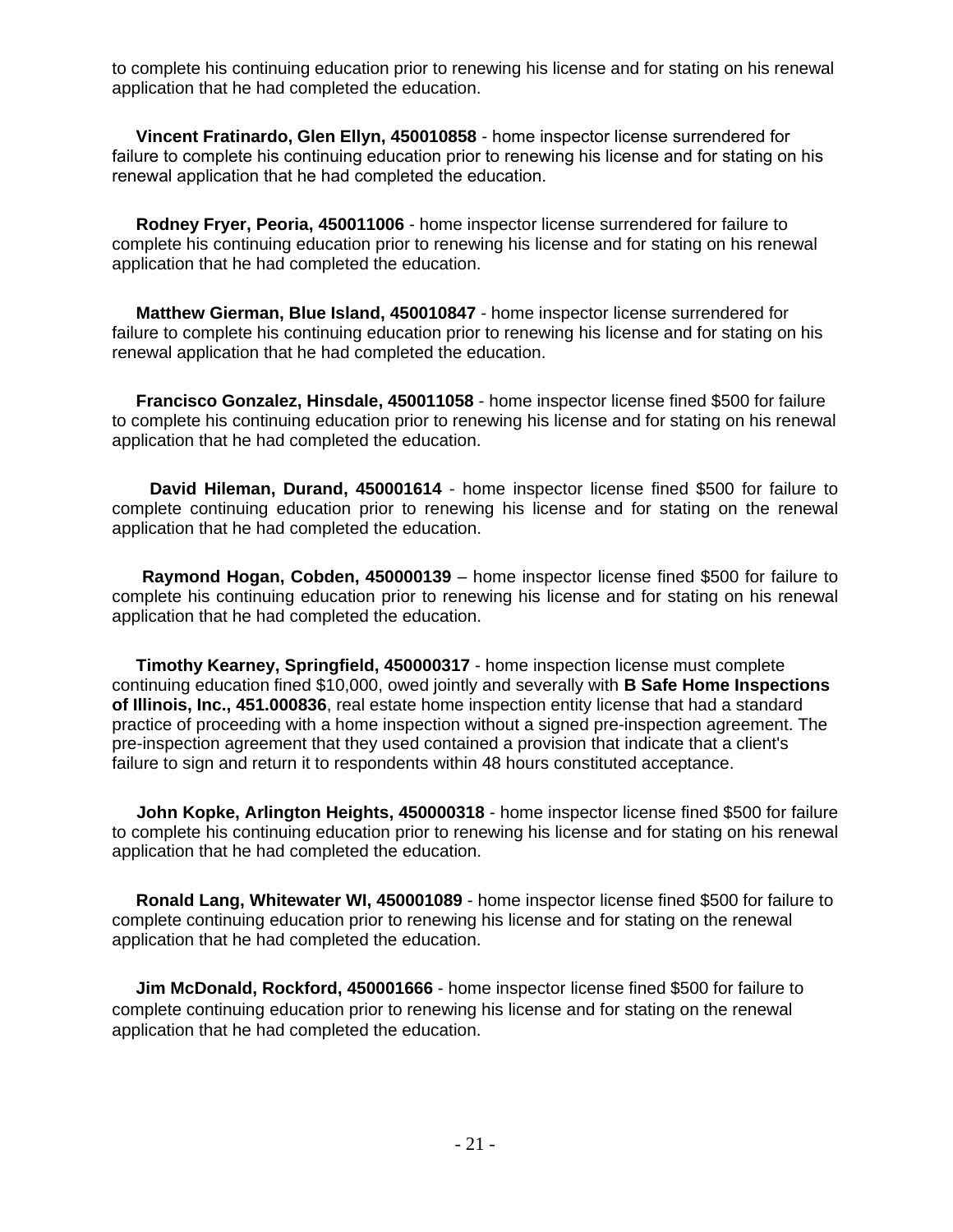to complete his continuing education prior to renewing his license and for stating on his renewal application that he had completed the education.

 **Vincent Fratinardo, Glen Ellyn, 450010858** - home inspector license surrendered for failure to complete his continuing education prior to renewing his license and for stating on his renewal application that he had completed the education.

 **Rodney Fryer, Peoria, 450011006** - home inspector license surrendered for failure to complete his continuing education prior to renewing his license and for stating on his renewal application that he had completed the education.

 **Matthew Gierman, Blue Island, 450010847** - home inspector license surrendered for failure to complete his continuing education prior to renewing his license and for stating on his renewal application that he had completed the education.

 **Francisco Gonzalez, Hinsdale, 450011058** - home inspector license fined \$500 for failure to complete his continuing education prior to renewing his license and for stating on his renewal application that he had completed the education.

 **David Hileman, Durand, 450001614** - home inspector license fined \$500 for failure to complete continuing education prior to renewing his license and for stating on the renewal application that he had completed the education.

 **Raymond Hogan, Cobden, 450000139** – home inspector license fined \$500 for failure to complete his continuing education prior to renewing his license and for stating on his renewal application that he had completed the education.

 **Timothy Kearney, Springfield, 450000317** - home inspection license must complete continuing education fined \$10,000, owed jointly and severally with **B Safe Home Inspections of Illinois, Inc., 451.000836**, real estate home inspection entity license that had a standard practice of proceeding with a home inspection without a signed pre-inspection agreement. The pre-inspection agreement that they used contained a provision that indicate that a client's failure to sign and return it to respondents within 48 hours constituted acceptance.

 **John Kopke, Arlington Heights, 450000318** - home inspector license fined \$500 for failure to complete his continuing education prior to renewing his license and for stating on his renewal application that he had completed the education.

 **Ronald Lang, Whitewater WI, 450001089** - home inspector license fined \$500 for failure to complete continuing education prior to renewing his license and for stating on the renewal application that he had completed the education.

 **Jim McDonald, Rockford, 450001666** - home inspector license fined \$500 for failure to complete continuing education prior to renewing his license and for stating on the renewal application that he had completed the education.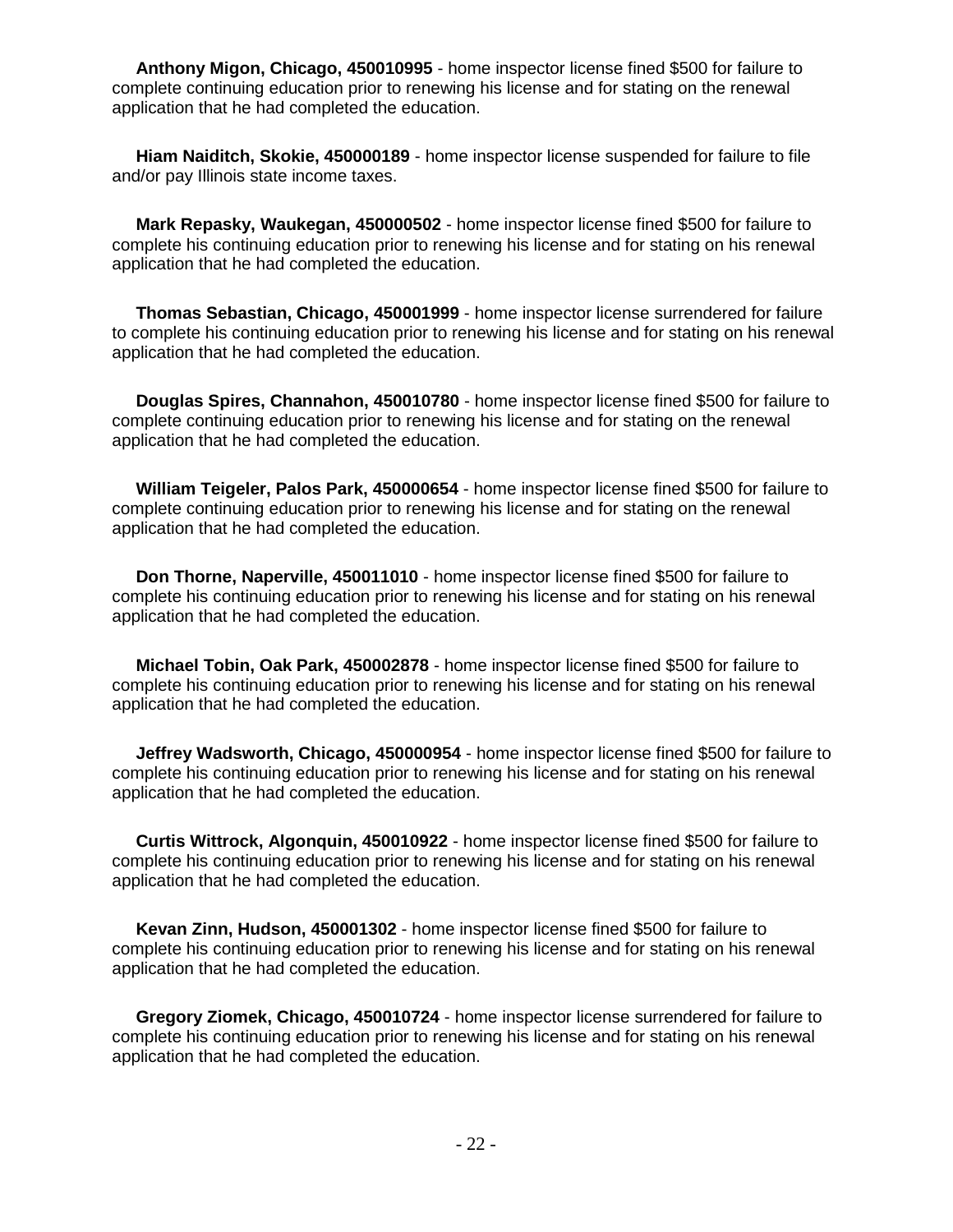**Anthony Migon, Chicago, 450010995** - home inspector license fined \$500 for failure to complete continuing education prior to renewing his license and for stating on the renewal application that he had completed the education.

 **Hiam Naiditch, Skokie, 450000189** - home inspector license suspended for failure to file and/or pay Illinois state income taxes.

 **Mark Repasky, Waukegan, 450000502** - home inspector license fined \$500 for failure to complete his continuing education prior to renewing his license and for stating on his renewal application that he had completed the education.

 **Thomas Sebastian, Chicago, 450001999** - home inspector license surrendered for failure to complete his continuing education prior to renewing his license and for stating on his renewal application that he had completed the education.

 **Douglas Spires, Channahon, 450010780** - home inspector license fined \$500 for failure to complete continuing education prior to renewing his license and for stating on the renewal application that he had completed the education.

 **William Teigeler, Palos Park, 450000654** - home inspector license fined \$500 for failure to complete continuing education prior to renewing his license and for stating on the renewal application that he had completed the education.

 **Don Thorne, Naperville, 450011010** - home inspector license fined \$500 for failure to complete his continuing education prior to renewing his license and for stating on his renewal application that he had completed the education.

 **Michael Tobin, Oak Park, 450002878** - home inspector license fined \$500 for failure to complete his continuing education prior to renewing his license and for stating on his renewal application that he had completed the education.

 **Jeffrey Wadsworth, Chicago, 450000954** - home inspector license fined \$500 for failure to complete his continuing education prior to renewing his license and for stating on his renewal application that he had completed the education.

 **Curtis Wittrock, Algonquin, 450010922** - home inspector license fined \$500 for failure to complete his continuing education prior to renewing his license and for stating on his renewal application that he had completed the education.

 **Kevan Zinn, Hudson, 450001302** - home inspector license fined \$500 for failure to complete his continuing education prior to renewing his license and for stating on his renewal application that he had completed the education.

 **Gregory Ziomek, Chicago, 450010724** - home inspector license surrendered for failure to complete his continuing education prior to renewing his license and for stating on his renewal application that he had completed the education.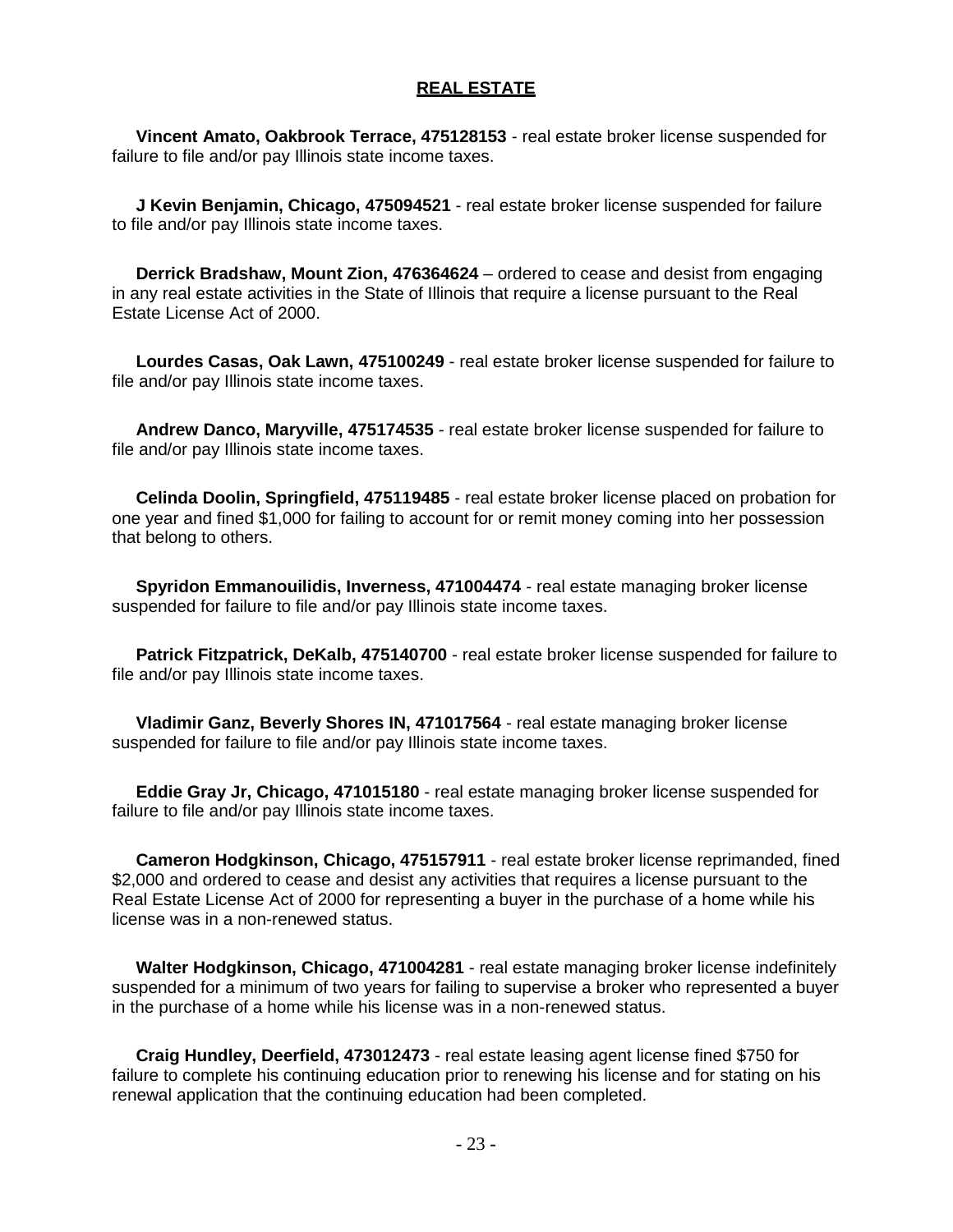#### **REAL ESTATE**

 **Vincent Amato, Oakbrook Terrace, 475128153** - real estate broker license suspended for failure to file and/or pay Illinois state income taxes.

 **J Kevin Benjamin, Chicago, 475094521** - real estate broker license suspended for failure to file and/or pay Illinois state income taxes.

 **Derrick Bradshaw, Mount Zion, 476364624** – ordered to cease and desist from engaging in any real estate activities in the State of Illinois that require a license pursuant to the Real Estate License Act of 2000.

 **Lourdes Casas, Oak Lawn, 475100249** - real estate broker license suspended for failure to file and/or pay Illinois state income taxes.

 **Andrew Danco, Maryville, 475174535** - real estate broker license suspended for failure to file and/or pay Illinois state income taxes.

 **Celinda Doolin, Springfield, 475119485** - real estate broker license placed on probation for one year and fined \$1,000 for failing to account for or remit money coming into her possession that belong to others.

 **Spyridon Emmanouilidis, Inverness, 471004474** - real estate managing broker license suspended for failure to file and/or pay Illinois state income taxes.

 **Patrick Fitzpatrick, DeKalb, 475140700** - real estate broker license suspended for failure to file and/or pay Illinois state income taxes.

 **Vladimir Ganz, Beverly Shores IN, 471017564** - real estate managing broker license suspended for failure to file and/or pay Illinois state income taxes.

 **Eddie Gray Jr, Chicago, 471015180** - real estate managing broker license suspended for failure to file and/or pay Illinois state income taxes.

 **Cameron Hodgkinson, Chicago, 475157911** - real estate broker license reprimanded, fined \$2,000 and ordered to cease and desist any activities that requires a license pursuant to the Real Estate License Act of 2000 for representing a buyer in the purchase of a home while his license was in a non-renewed status.

 **Walter Hodgkinson, Chicago, 471004281** - real estate managing broker license indefinitely suspended for a minimum of two years for failing to supervise a broker who represented a buyer in the purchase of a home while his license was in a non-renewed status.

 **Craig Hundley, Deerfield, 473012473** - real estate leasing agent license fined \$750 for failure to complete his continuing education prior to renewing his license and for stating on his renewal application that the continuing education had been completed.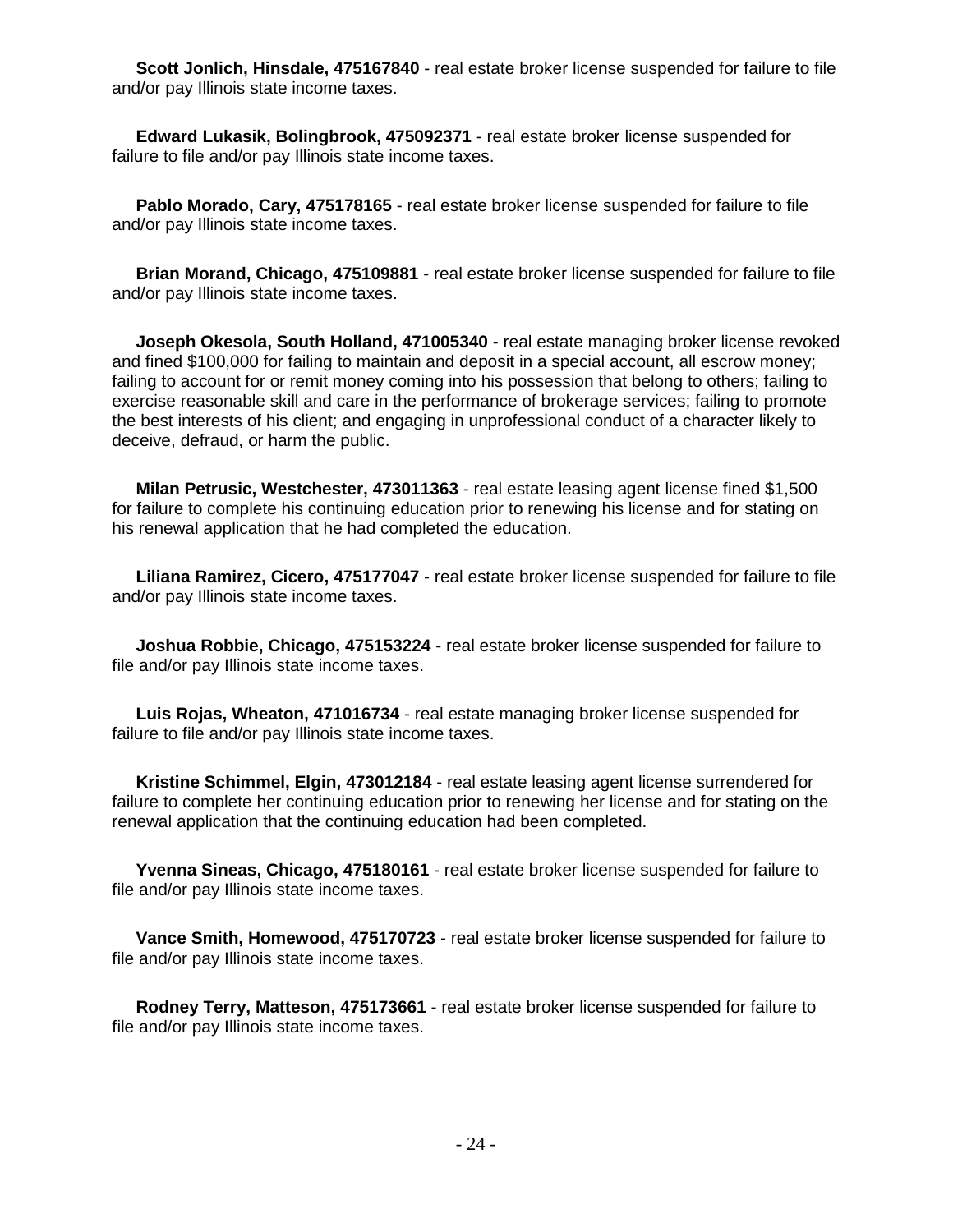**Scott Jonlich, Hinsdale, 475167840** - real estate broker license suspended for failure to file and/or pay Illinois state income taxes.

 **Edward Lukasik, Bolingbrook, 475092371** - real estate broker license suspended for failure to file and/or pay Illinois state income taxes.

 **Pablo Morado, Cary, 475178165** - real estate broker license suspended for failure to file and/or pay Illinois state income taxes.

 **Brian Morand, Chicago, 475109881** - real estate broker license suspended for failure to file and/or pay Illinois state income taxes.

 **Joseph Okesola, South Holland, 471005340** - real estate managing broker license revoked and fined \$100,000 for failing to maintain and deposit in a special account, all escrow money; failing to account for or remit money coming into his possession that belong to others; failing to exercise reasonable skill and care in the performance of brokerage services; failing to promote the best interests of his client; and engaging in unprofessional conduct of a character likely to deceive, defraud, or harm the public.

 **Milan Petrusic, Westchester, 473011363** - real estate leasing agent license fined \$1,500 for failure to complete his continuing education prior to renewing his license and for stating on his renewal application that he had completed the education.

 **Liliana Ramirez, Cicero, 475177047** - real estate broker license suspended for failure to file and/or pay Illinois state income taxes.

 **Joshua Robbie, Chicago, 475153224** - real estate broker license suspended for failure to file and/or pay Illinois state income taxes.

 **Luis Rojas, Wheaton, 471016734** - real estate managing broker license suspended for failure to file and/or pay Illinois state income taxes.

 **Kristine Schimmel, Elgin, 473012184** - real estate leasing agent license surrendered for failure to complete her continuing education prior to renewing her license and for stating on the renewal application that the continuing education had been completed.

 **Yvenna Sineas, Chicago, 475180161** - real estate broker license suspended for failure to file and/or pay Illinois state income taxes.

 **Vance Smith, Homewood, 475170723** - real estate broker license suspended for failure to file and/or pay Illinois state income taxes.

 **Rodney Terry, Matteson, 475173661** - real estate broker license suspended for failure to file and/or pay Illinois state income taxes.